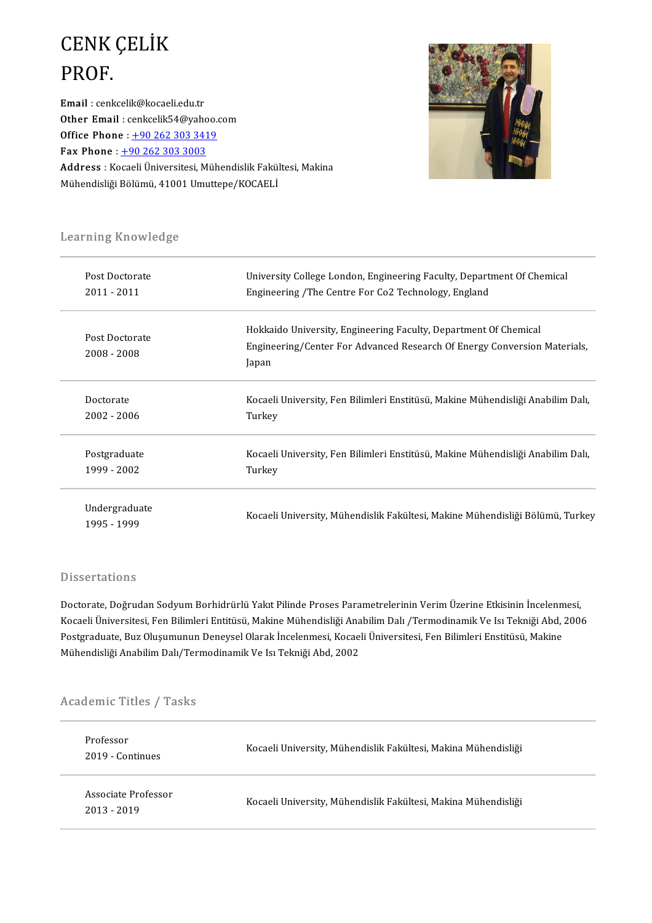## CENK ÇELİK<br>PROF CENK<br>PROF.<br><sup>Email : cenk</sup> Email : cenkcelik@kocaeli.edu.tr

Other Email : cenkcelik54@yahoo.com Email : cenkcelik@kocaeli.edu.tr<br>Other Email : cenkcelik54@yahoo.org<br>Office Phone : +90 262 303 3419<br>Eav Phone : 190 262 202 2002 Other Email : cenkcelik54@yaho<br>Office Phone : <u>+90 262 303 341</u><br>Fax Phone : <u>+90 262 303 3003</u><br>Address : Kesaeli Üniversitesi M Office Phone : <u>+90 262 303 3419</u><br>Fax Phone : <u>+90 262 303 3003</u><br>Address : Kocaeli Üniversitesi, Mühendislik Fakültesi, Makina<br>Mühendisliği Pölümü, 41001 Umuttana (KOCAELİ **Fax Phone** : <u>+90 262 303 3003</u><br><mark>Address :</mark> Kocaeli Üniversitesi, Mühendislik Fakül<br>Mühendisliği Bölümü, 41001 Umuttepe/KOCAELİ



# earning Knowledge

| Learning Knowledge |                                                                                                                                              |  |  |  |
|--------------------|----------------------------------------------------------------------------------------------------------------------------------------------|--|--|--|
| Post Doctorate     | University College London, Engineering Faculty, Department Of Chemical                                                                       |  |  |  |
| 2011 - 2011        | Engineering /The Centre For Co2 Technology, England                                                                                          |  |  |  |
| Post Doctorate     | Hokkaido University, Engineering Faculty, Department Of Chemical<br>Engineering/Center For Advanced Research Of Energy Conversion Materials, |  |  |  |
| 2008 - 2008        | Japan                                                                                                                                        |  |  |  |
| Doctorate          | Kocaeli University, Fen Bilimleri Enstitüsü, Makine Mühendisliği Anabilim Dalı,                                                              |  |  |  |
| $2002 - 2006$      | Turkey                                                                                                                                       |  |  |  |
| Postgraduate       | Kocaeli University, Fen Bilimleri Enstitüsü, Makine Mühendisliği Anabilim Dalı,                                                              |  |  |  |
| 1999 - 2002        | Turkey                                                                                                                                       |  |  |  |
| Undergraduate      |                                                                                                                                              |  |  |  |
| 1995 - 1999        | Kocaeli University, Mühendislik Fakültesi, Makine Mühendisliği Bölümü, Turkey                                                                |  |  |  |

### **Dissertations**

Dissertations<br>Doctorate, Doğrudan Sodyum Borhidrürlü Yakıt Pilinde Proses Parametrelerinin Verim Üzerine Etkisinin İncelenmesi,<br>Kosaali Üniversitesi, Fan Pilimlari Entitüsü, Makina Mühandisliği Anabilim Dalı (Tarmadinamik Kocaeli Üniversitesi, Fen Bilimleri Entitüsü, Makine Mühendisliği Anabilim Dalı /Termodinamik Ve Isı Tekniği Abd, 2006<br>Postgraduate, Buz Oluşumunun Deneysel Olarak İncelenmesi, Kocaeli Üniversitesi, Fen Bilimleri Enstitüsü Doctorate, Doğrudan Sodyum Borhidrürlü Yakıt Pilinde Proses Parametrelerinin Verim Üzerine Etkisinin İncelenm<br>Kocaeli Üniversitesi, Fen Bilimleri Entitüsü, Makine Mühendisliği Anabilim Dalı /Termodinamik Ve Isı Tekniği Abd Mühendisliği Anabilim Dalı/Termodinamik Ve Isı Tekniği Abd, 2002

# munenaisiigi Anabiilm Daily Fer<br>Academic Titles / Tasks

| Professor<br>2019 - Continues      | Kocaeli University, Mühendislik Fakültesi, Makina Mühendisliği |
|------------------------------------|----------------------------------------------------------------|
| Associate Professor<br>2013 - 2019 | Kocaeli University, Mühendislik Fakültesi, Makina Mühendisliği |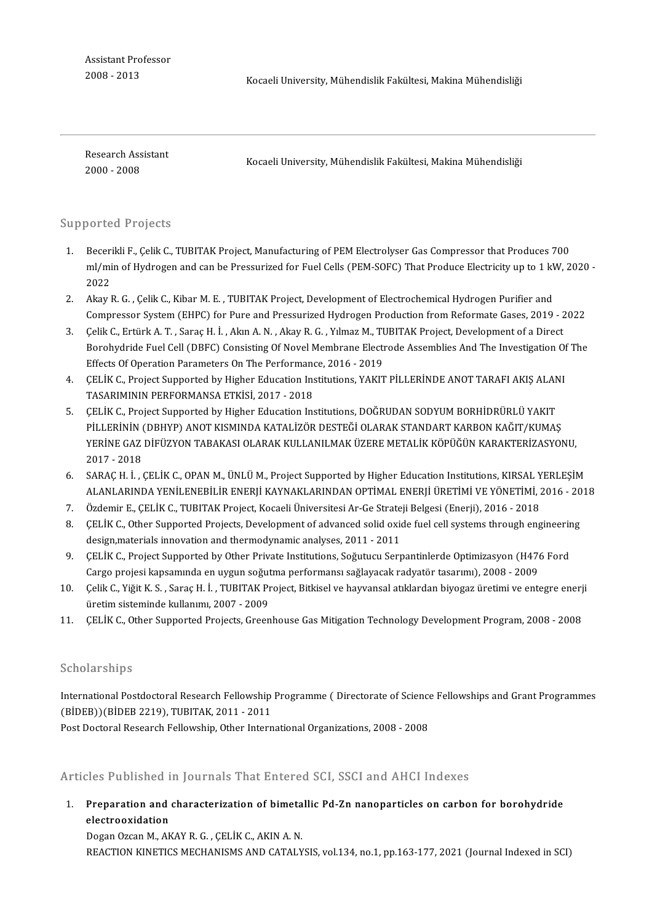2008-2013 KocaeliUniversity,MühendislikFakültesi,MakinaMühendisliği

mas<br>Research Assistant<br>2000 - 2009 **Research Ass<br>2000 - 2008** 

Kocaeli University, Mühendislik Fakültesi, Makina Mühendisliği

#### Supported Projects

- upported Projects<br>1. Becerikli F., Çelik C., TUBITAK Project, Manufacturing of PEM Electrolyser Gas Compressor that Produces 700<br>ml/min of Hydrogen and can be Pressurized for Fuel Cells (PEM SOEC) That Produce Electricity ml/min of Hydrogen and can be Pressurized for Fuel Cells (PEM-SOFC) That Produce Electricity up to 1 kW, 2020 - 2022 Beceri<br>ml/mi<br>2022<br>Alray I ml/min of Hydrogen and can be Pressurized for Fuel Cells (PEM-SOFC) That Produce Electricity up to 1 kV<br>2022<br>2. Akay R. G. , Çelik C., Kibar M. E. , TUBITAK Project, Development of Electrochemical Hydrogen Purifier and<br>6.
- 2022<br>Akay R. G. , Çelik C., Kibar M. E. , TUBITAK Project, Development of Electrochemical Hydrogen Purifier and<br>Compressor System (EHPC) for Pure and Pressurized Hydrogen Production from Reformate Gases, 2019 2022<br>Celik 2. Akay R. G. , Çelik C., Kibar M. E. , TUBITAK Project, Development of Electrochemical Hydrogen Purifier and<br>3. Celik C., Ertürk A. T. , Saraç H. İ. , Akın A. N. , Akay R. G. , Yılmaz M., TUBITAK Project, Development of a
- Compressor System (EHPC) for Pure and Pressurized Hydrogen Production from Reformate Gases, 2019 2022<br>Çelik C., Ertürk A. T. , Saraç H. İ. , Akın A. N. , Akay R. G. , Yılmaz M., TUBITAK Project, Development of a Direct<br>B Celik C., Ertürk A. T. , Saraç H. İ. , Akın A. N. , Akay R. G. , Yılmaz M., TUBITAK Project, Development of a Direct<br>Borohydride Fuel Cell (DBFC) Consisting Of Novel Membrane Electrode Assemblies And The Investigation Of T Borohydride Fuel Cell (DBFC) Consisting Of Novel Membrane Electrode Assemblies And The Investigation Of<br>Effects Of Operation Parameters On The Performance, 2016 - 2019<br>4. CELİK C., Project Supported by Higher Education Ins
- Effects Of Operation Parameters On The Performand<br>CELIK C., Project Supported by Higher Education Ins<br>TASARIMININ PERFORMANSA ETKİSİ, 2017 2018<br>CELİK C. Project Supported bu Higher Education Ins 5. CELIK C., Project Supported by Higher Education Institutions, YAKIT PILLERINDE ANOT TARAFI AKIŞ ALAN<br>195. CELIK C., Project Supported by Higher Education Institutions, DOĞRUDAN SODYUM BORHİDRÜRLÜ YAKIT<br>196. CELIK C., Pr
- PHASARIMININ PERFORMANSA ETKİSİ, 2017 2018<br>5. CELİK C., Project Supported by Higher Education Institutions, DOĞRUDAN SODYUM BORHİDRÜRLÜ YAKIT<br>19. PİLLERİNİN (DBHYP) ANOT KISMINDA KATALİZÖR DESTEĞİ OLARAK STANDART KARBON ÇELİK C., Project Supported by Higher Education Institutions, DOĞRUDAN SODYUM BORHİDRÜRLÜ YAKIT<br>PİLLERİNİN (DBHYP) ANOT KISMINDA KATALİZÖR DESTEĞİ OLARAK STANDART KARBON KAĞIT/KUMAŞ<br>YERİNE GAZ DİFÜZYON TABAKASI OLARAK KULL PILLERININ<br>YERINE GAZ<br>2017 - 2018<br>SARACH İ FRINE GAZ DİFÜZYON TABAKASI OLARAK KULLANILMAK ÜZERE METALİK KÖPÜĞÜN KARAKTERİZASYONU,<br>2017 - 2018<br>6. SARAÇ H. İ. , ÇELİK C., OPAN M., ÜNLÜ M., Project Supported by Higher Education Institutions, KIRSAL YERLEŞİM<br>2014 - ALA
- 2017 2018<br>SARAÇ H. İ. , ÇELİK C., OPAN M., ÜNLÜ M., Project Supported by Higher Education Institutions, KIRSAL YERLEŞİM<br>ALANLARINDA YENİLENEBİLİR ENERJİ KAYNAKLARINDAN OPTİMAL ENERJİ ÜRETİMİ VE YÖNETİMİ, 2016 2018 7. SARAÇ H. İ. , ÇELİK C., OPAN M., ÜNLÜ M., Project Supported by Higher Education Institutions, KIRSAL YERLEŞİM<br>1. ALANLARINDA YENİLENEBİLİR ENERJİ KAYNAKLARINDAN OPTİMAL ENERJİ ÜRETİMİ VE YÖNETİMİ, 2016 - 2018<br>1. Özdemir
- Özdemir E., ÇELİK C., TUBITAK Project, Kocaeli Üniversitesi Ar-Ge Strateji Belgesi (Enerji), 2016 2018
- CELIK C., Other Supported Projects, Development of advanced solid oxide fuel cell systems through engineering<br>design, materials innovation and thermodynamic analyses, 2011 2011 9. CELIK C., Other Supported Projects, Development of advanced solid oxide fuel cell systems through engineerin<br>design,materials innovation and thermodynamic analyses, 2011 - 2011<br>9. CELIK C., Project Supported by Other Pr
- design,materials innovation and thermodynamic analyses, 2011 2011<br>ÇELİK C., Project Supported by Other Private Institutions, Soğutucu Serpantinlerde Optimizasyon (H476<br>Cargo projesi kapsamında en uygun soğutma performans 9. ÇELİK C., Project Supported by Other Private Institutions, Soğutucu Serpantinlerde Optimizasyon (H476 Ford<br>Cargo projesi kapsamında en uygun soğutma performansı sağlayacak radyatör tasarımı), 2008 - 2009<br>10. Çelik C., Y
- Cargo projesi kapsamında en uygun soğutma performansı sağlayacak radyatör tasarımı), 2008 2009<br>Çelik C., Yiğit K. S. , Saraç H. İ. , TUBITAK Project, Bitkisel ve hayvansal atıklardan biyogaz üretimi ve entegre enerji<br>üre 10. Celik C., Yiğit K. S. , Saraç H. İ. , TUBITAK Project, Bitkisel ve hayvansal atıklardan biyogaz üretimi ve entegre ener<br>üretim sisteminde kullanımı, 2007 - 2009<br>11. CELİK C., Other Supported Projects, Greenhouse Gas Mi
- 

### Scholarships

Scholarships<br>International Postdoctoral Research Fellowship Programme ( Directorate of Science Fellowships and Grant Programmes<br>CRIDER)\(RiDER 2219), TURITAK, 2011, 2011 (BİDEB))(BİDEB 2219), TUBITAK, 2011 - 2011<br>Post Doctoral Research Fellowship, Other International Organizations, 2008 - 2008 International Postdoctoral Research Fellowship Programme ( Directorate of Science<br>(BİDEB))(BİDEB 2219), TUBITAK, 2011 - 2011<br>Post Doctoral Research Fellowship, Other International Organizations, 2008 - 2008

### Articles Published in Journals That Entered SCI, SSCI and AHCI Indexes

1. Preparation and characterization of bimetal ic Pd-Zn nanoparticles on carbon for borohydride electrooxidation<br>Preparation and<br>Pegga Ozan M. Ak Preparation and characterization of bimeta<br>electrooxidation<br>Dogan Ozcan M., AKAY R. G. , ÇELİK C., AKIN A. N.<br>REACTION KINETICS MECHANISMS AND CATALY

electrooxidation<br>Dogan Ozcan M., AKAY R. G. , ÇELİK C., AKIN A. N.<br>REACTION KINETICS MECHANISMS AND CATALYSIS, vol.134, no.1, pp.163-177, 2021 (Journal Indexed in SCI)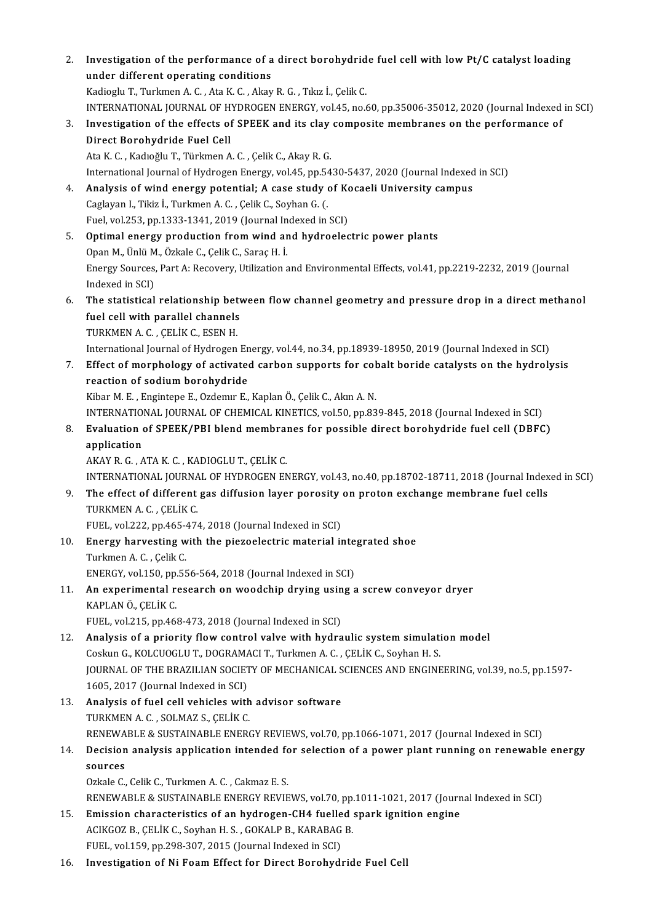| 2.  | Investigation of the performance of a direct borohydride fuel cell with low Pt/C catalyst loading<br>under different operating conditions                                                                 |
|-----|-----------------------------------------------------------------------------------------------------------------------------------------------------------------------------------------------------------|
|     | Kadioglu T., Turkmen A. C., Ata K. C., Akay R. G., Tıkız İ., Çelik C.<br>INTERNATIONAL JOURNAL OF HYDROGEN ENERGY, vol.45, no.60, pp.35006-35012, 2020 (Journal Indexed in SCI)                           |
| 3.  | Investigation of the effects of SPEEK and its clay composite membranes on the performance of                                                                                                              |
|     | Direct Borohydride Fuel Cell<br>Ata K. C., Kadıoğlu T., Türkmen A. C., Çelik C., Akay R. G.                                                                                                               |
|     | International Journal of Hydrogen Energy, vol.45, pp.5430-5437, 2020 (Journal Indexed in SCI)                                                                                                             |
| 4.  | Analysis of wind energy potential; A case study of Kocaeli University campus<br>Caglayan I., Tikiz İ., Turkmen A. C., Çelik C., Soyhan G. (.                                                              |
|     | Fuel, vol.253, pp.1333-1341, 2019 (Journal Indexed in SCI)                                                                                                                                                |
| 5.  | Optimal energy production from wind and hydroelectric power plants<br>Opan M, Ünlü M, Özkale C, Çelik C, Saraç H. İ.                                                                                      |
|     | Energy Sources, Part A: Recovery, Utilization and Environmental Effects, vol.41, pp.2219-2232, 2019 (Journal<br>Indexed in SCI)                                                                           |
| 6.  | The statistical relationship between flow channel geometry and pressure drop in a direct methanol<br>fuel cell with parallel channels                                                                     |
|     | TURKMEN A.C., ÇELİK C., ESEN H.                                                                                                                                                                           |
| 7.  | International Journal of Hydrogen Energy, vol.44, no.34, pp.18939-18950, 2019 (Journal Indexed in SCI)<br>Effect of morphology of activated carbon supports for cobalt boride catalysts on the hydrolysis |
|     | reaction of sodium borohydride                                                                                                                                                                            |
|     | Kibar M. E., Engintepe E., Ozdemır E., Kaplan Ö., Çelik C., Akın A. N.<br>INTERNATIONAL JOURNAL OF CHEMICAL KINETICS, vol.50, pp.839-845, 2018 (Journal Indexed in SCI)                                   |
| 8.  | Evaluation of SPEEK/PBI blend membranes for possible direct borohydride fuel cell (DBFC)                                                                                                                  |
|     | application<br>AKAY R. G., ATA K. C., KADIOGLU T., ÇELİK C.                                                                                                                                               |
|     | INTERNATIONAL JOURNAL OF HYDROGEN ENERGY, vol.43, no.40, pp.18702-18711, 2018 (Journal Indexed in SCI)                                                                                                    |
| 9.  | The effect of different gas diffusion layer porosity on proton exchange membrane fuel cells<br>TURKMEN A C, CELIK C                                                                                       |
| 10. | FUEL, vol.222, pp.465-474, 2018 (Journal Indexed in SCI)<br>Energy harvesting with the piezoelectric material integrated shoe                                                                             |
|     | Turkmen A C , Çelik C.                                                                                                                                                                                    |
|     | ENERGY, vol.150, pp.556-564, 2018 (Journal Indexed in SCI)                                                                                                                                                |
| 11. | An experimental research on woodchip drying using a screw conveyor dryer<br>KAPLAN Ö., ÇELİK C.                                                                                                           |
|     | FUEL, vol.215, pp.468-473, 2018 (Journal Indexed in SCI)                                                                                                                                                  |
| 12. | Analysis of a priority flow control valve with hydraulic system simulation model<br>Coskun G., KOLCUOGLU T., DOGRAMACI T., Turkmen A. C., ÇELİK C., Soyhan H. S.                                          |
|     | JOURNAL OF THE BRAZILIAN SOCIETY OF MECHANICAL SCIENCES AND ENGINEERING, vol.39, no.5, pp.1597-                                                                                                           |
|     | 1605, 2017 (Journal Indexed in SCI)                                                                                                                                                                       |
| 13. | Analysis of fuel cell vehicles with advisor software<br>TURKMEN A.C., SOLMAZ S., CELIK C.                                                                                                                 |
|     | RENEWABLE & SUSTAINABLE ENERGY REVIEWS, vol.70, pp.1066-1071, 2017 (Journal Indexed in SCI)                                                                                                               |
| 14. | Decision analysis application intended for selection of a power plant running on renewable energy<br>sources                                                                                              |
|     | Ozkale C., Celik C., Turkmen A. C., Cakmaz E. S.                                                                                                                                                          |
| 15. | RENEWABLE & SUSTAINABLE ENERGY REVIEWS, vol.70, pp.1011-1021, 2017 (Journal Indexed in SCI)<br>Emission characteristics of an hydrogen-CH4 fuelled spark ignition engine                                  |
|     | ACIKGOZ B., ÇELİK C., Soyhan H. S., GOKALP B., KARABAG B.                                                                                                                                                 |
|     | FUEL, vol.159, pp.298-307, 2015 (Journal Indexed in SCI)                                                                                                                                                  |
| 16. | Investigation of Ni Foam Effect for Direct Borohydride Fuel Cell                                                                                                                                          |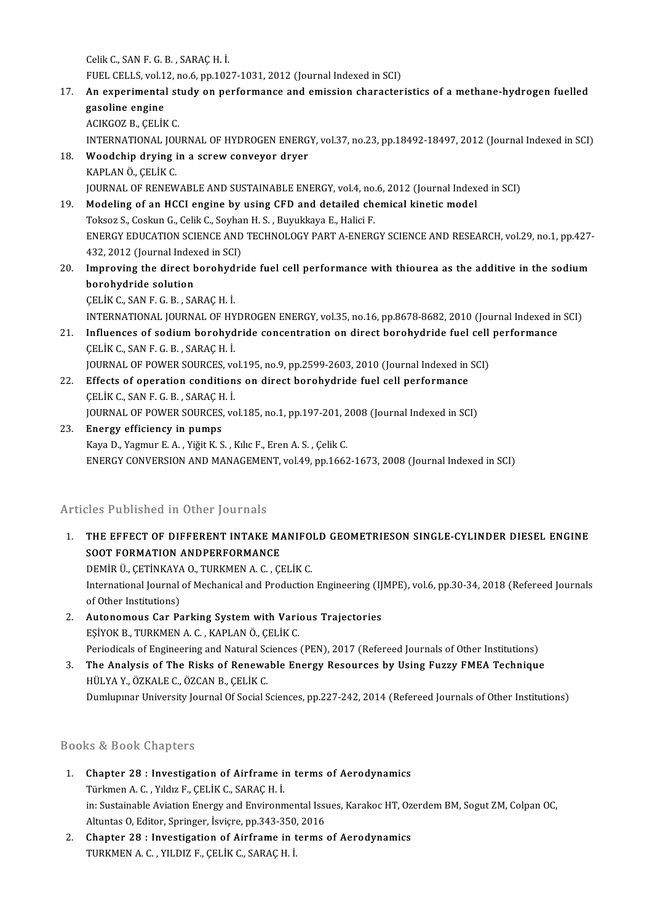CelikC.,SANF.G.B. ,SARAÇH. İ. Celik C., SAN F. G. B. , SARAÇ H. İ.<br>FUEL CELLS, vol.12, no.6, pp.1027-1031, 2012 (Journal Indexed in SCI)<br>An eunerimental study on nerformanes and emission sharaster

17. An experimental study on performance and emission characteristics of a methane-hydrogen fuelled gasoline engine FUEL CELLS, vol.1<br>An experimental<br>gasoline engine ACIKGOZB.,ÇELİKC.

INTERNATIONAL JOURNALOFHYDROGENENERGY,vol.37,no.23,pp.18492-18497,2012(Journal IndexedinSCI)

- ACIKGOZ B., ÇELİK C.<br>INTERNATIONAL JOURNAL OF HYDROGEN ENERG<br>18. Woodchip drying in a screw conveyor dryer INTERNATIONAL JOUN<br>**Woodchip drying i**<br>KAPLAN Ö., ÇELİK C.<br>JOUPNAL OF PENEW KAPLAN Ö., ÇELİK C.<br>JOURNAL OF RENEWABLE AND SUSTAINABLE ENERGY, vol.4, no.6, 2012 (Journal Indexed in SCI) KAPLAN Ö., ÇELİK C.<br>
JOURNAL OF RENEWABLE AND SUSTAINABLE ENERGY, vol.4, no.6, 2012 (Journal Index.<br>
19. Modeling of an HCCI engine by using CFD and detailed chemical kinetic model<br>
Telses S. Ceslau C. Celik C. Seyban H. S
- JOURNAL OF RENEWABLE AND SUSTAINABLE ENERGY, vol.4, no.<br>Modeling of an HCCI engine by using CFD and detailed che<br>Toksoz S., Coskun G., Celik C., Soyhan H. S. , Buyukkaya E., Halici F.<br>ENERCY EDUCATION SCIENCE AND TECHNOLOC ENERGY EDUCATION SCIENCE AND TECHNOLOGY PART A-ENERGY SCIENCE AND RESEARCH, vol.29, no.1, pp.427-432, 2012 (Journal Indexed in SCI) Toksoz S., Coskun G., Celik C., Soyhan H. S., Buyukkaya E., Halici F. ENERGY EDUCATION SCIENCE AND TECHNOLOGY PART A-ENERGY SCIENCE AND RESEARCH, vol.29, no.1, pp.427-<br>432, 2012 (Journal Indexed in SCI)<br>20. Improving the direct borohydride fuel cell performance with thiourea as the additive
- 432, 2012 (Journal Index<br>Improving the direct b<br>borohydride solution<br>CELIK C. SAN E.C. B. SA borohydride solution<br>ÇELİK C., SAN F. G. B. , SARAÇ H. İ.

INTERNATIONAL JOURNALOFHYDROGENENERGY,vol.35,no.16,pp.8678-8682,2010(Journal IndexedinSCI)

- CELIK C., SAN F. G. B. , SARAC H. I.<br>INTERNATIONAL JOURNAL OF HYDROGEN ENERGY, vol.35, no.16, pp.8678-8682, 2010 (Journal Indexed in<br>21. Influences of sodium borohydride concentration on direct borohydride fuel cell perfor INTERNATIONAL JOURNAL OF HY<br>Influences of sodium borohyd<br>ÇELİK C., SAN F. G. B. , SARAÇ H. İ.<br>JOUPNAL OF POWER SOURCES YO Influences of sodium borohydride concentration on direct borohydride fuel cell<br>ÇELİK C., SAN F. G. B. , SARAÇ H. İ.<br>JOURNAL OF POWER SOURCES, vol.195, no.9, pp.2599-2603, 2010 (Journal Indexed in SCI)<br>Effects of aponation
- CELIK C., SAN F. G. B., SARAC H. I.<br>JOURNAL OF POWER SOURCES, vol.195, no.9, pp.2599-2603, 2010 (Journal Indexed in<br>22. Effects of operation conditions on direct borohydride fuel cell performance<br>CELIK C. SAN E.C. P., SARA JOURNAL OF POWER SOURCES, von<br>Effects of operation condition<br>CELİK C., SAN F. G. B. , SARAÇ H. İ.<br>JOUPNAL OF POWER SOURCES VO Effects of operation conditions on direct borohydride fuel cell performance<br>CELİK C., SAN F. G. B. , SARAÇ H. İ.<br>JOURNAL OF POWER SOURCES, vol.185, no.1, pp.197-201, 2008 (Journal Indexed in SCI)<br>Energy efficionay in numne
- CELIK C., SAN F. G. B. , SARAC H. I.<br>JOURNAL OF POWER SOURCES, vol.185, no.1, pp.197-201, 2<br>23. Energy efficiency in pumps<br>Kaya D., Yagmur E. A. , Yiğit K. S. , Kılıc F., Eren A. S. , Çelik C. JOURNAL OF POWER SOURCES, vol.185, no.1, pp.197-201, 2<br>Energy efficiency in pumps<br>Kaya D., Yagmur E. A. , Yiğit K. S. , Kılıc F., Eren A. S. , Çelik C.<br>ENERCY CONVERSION AND MANACEMENT vol.49, np.1665 ENERGY CONVERSION AND MANAGEMENT, vol.49, pp.1662-1673, 2008 (Journal Indexed in SCI)

### Articles Published in Other Journals

- Irticles Published in Other Journals<br>1. THE EFFECT OF DIFFERENT INTAKE MANIFOLD GEOMETRIESON SINGLE-CYLINDER DIESEL ENGINE<br>SOOT FORMATION ANDRERFORMANCE SOOT FORMATION ANDERENT INTAKE MANUSCRIPT OF DIFFERENT INTAKE MANUSCRIPT OF THE REFECT OF DIFFERENT INTAKE MANUSCRIPT OF A SAME AND A SAME OF STREET OF THE MANUSCRIPT OF A SAME OF THE MANUSCRIPT OF A SAME OF THE MANUSCRIPT THE EFFECT OF DIFFERENT INTAKE MANIFO.<br>SOOT FORMATION ANDPERFORMANCE<br>DEMİR Ü., ÇETİNKAYA O., TURKMEN A. C. , ÇELİK C.<br>International Jaurnal of Mechanical and Production SOOT FORMATION ANDPERFORMANCE<br>DEMİR Ü., ÇETİNKAYA O., TURKMEN A. C. , ÇELİK C.<br>International Journal of Mechanical and Production Engineering (IJMPE), vol.6, pp.30-34, 2018 (Refereed Journals<br>of Other Institutione) **DEMIR Ü., ÇETİNKAYA**<br>International Journal<br>of Other Institutions)<br>Autonomous Con Be International Journal of Mechanical and Production Engineering (IJ<br>of Other Institutions)<br>2. Autonomous Car Parking System with Various Trajectories<br>ESIVOV B. TURKAEN A.C. KARLANŐ CELİK C
- of Other Institutions)<br>Autonomous Car Parking System with Varie<br>EŞİYOK B., TURKMEN A. C. , KAPLAN Ö., ÇELİK C.<br>Periodisels of Engineering and Natural Sciences. EŞİYOK B., TURKMEN A. C. , KAPLAN Ö., ÇELİK C.<br>Periodicals of Engineering and Natural Sciences (PEN), 2017 (Refereed Journals of Other Institutions) EŞİYOK B., TURKMEN A. C. , KAPLAN Ö., ÇELİK C.<br>Periodicals of Engineering and Natural Sciences (PEN), 2017 (Refereed Journals of Other Institutions)<br>3. The Analysis of The Risks of Renewable Energy Resources by Using Fuzzy
- Periodicals of Engineering and Natural Sc<br>**The Analysis of The Risks of Renewa**<br>HÜLYA Y., ÖZKALE C., ÖZCAN B., ÇELİK C.<br>Dumlunuar University Journal Of Social S The Analysis of The Risks of Renewable Energy Resources by Using Fuzzy FMEA Technique<br>HÜLYA Y., ÖZKALE C., ÖZCAN B., ÇELİK C.<br>Dumlupınar University Journal Of Social Sciences, pp.227-242, 2014 (Refereed Journals of Other I Dumlupınar University Journal Of Social Sciences, pp.227-242, 2014 (Refereed Journals of Other Institutions)<br>Books & Book Chapters

- 300ks & Book Chapters<br>1. Chapter 28 : Investigation of Airframe in terms of Aerodynamics<br>Türkman A.C. Vildig E. CELİK C. SARACH İ. Türkmen A.C., Yıldız F., ÇELİK C., SARAÇ H. İ.<br>Türkmen A. C., Yıldız F., ÇELİK C., SARAÇ H. İ.<br>İn: Sustainable Aviation Energy and Environn Türkmen A. C. , Yıldız F., ÇELİK C., SARAÇ H. İ.<br>in: Sustainable Aviation Energy and Environmental Issues, Karakoc HT, Ozerdem BM, Sogut ZM, Colpan OC, Altuntas O, Editor, Springer, İsviçre, pp.343-350, 2016 in: Sustainable Aviation Energy and Environmental Issues, Karakoc HT, Oz<br>Altuntas O, Editor, Springer, İsviçre, pp.343-350, 2016<br>2. Chapter 28 : Investigation of Airframe in terms of Aerodynamics<br>TURKANA C, VU DIZE CELİKC,
- Altuntas 0, Editor, Springer, İsviçre, pp.343-350<br><mark>Chapter 28 : Investigation of Airframe in t</mark><br>TURKMEN A. C. , YILDIZ F., ÇELİK C., SARAÇ H. İ.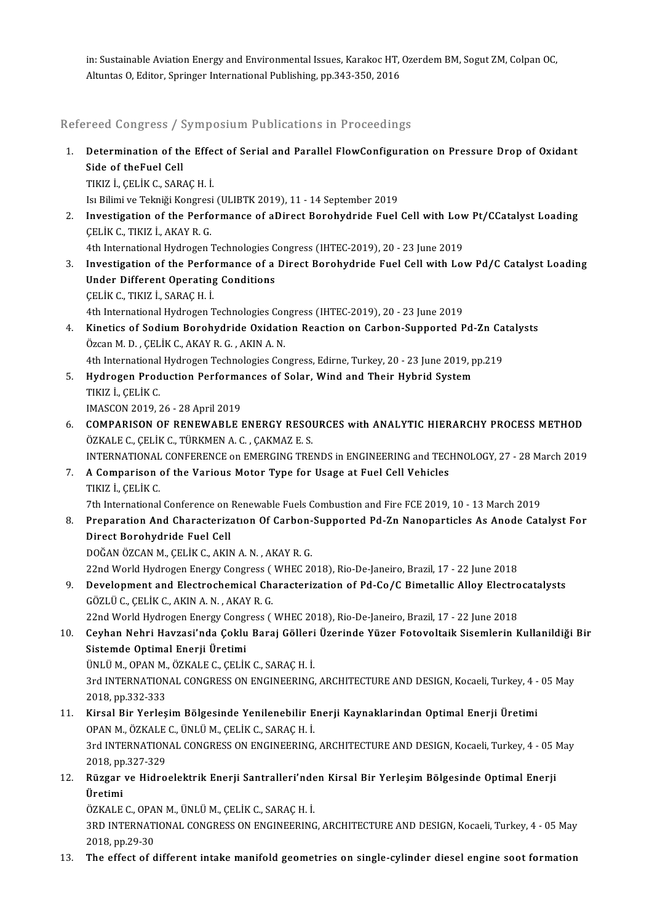in: Sustainable Aviation Energy and Environmental Issues, Karakoc HT, Ozerdem BM, Sogut ZM, Colpan OC,<br>Altuntes O. Editor, Springer International Bublishing, pp.343,350, 2016 in: Sustainable Aviation Energy and Environmental Issues, Karakoc HT,<br>Altuntas O, Editor, Springer International Publishing, pp.343-350, 2016

Altuntas 0, Editor, Springer International Publishing, pp.343-350, 2016<br>Refereed Congress / Symposium Publications in Proceedings

Refereed Congress / Symposium Publications in Proceedings<br>1. Determination of the Effect of Serial and Parallel FlowConfiguration on Pressure Drop of Oxidant<br>Side of theFuel Cell Side of theFuel Cell<br>Side of theFuel Cell<br>TIVIZ L CELLY C-SAR Determination of the Effe<br>Side of theFuel Cell<br>TIKIZ İ., ÇELİK C., SARAÇ H. İ.<br>Isi Bilimi ve Telmiği Kongresi Side of theFuel Cell<br>TIKIZ İ., ÇELİK C., SARAÇ H. İ.<br>Isı Bilimi ve Tekniği Kongresi (ULIBTK 2019), 11 - 14 September 2019

TIKIZ İ., ÇELİK C., SARAÇ H. İ.<br>Isı Bilimi ve Tekniği Kongresi (ULIBTK 2019), 11 - 14 September 2019<br>2. Investigation of the Performance of aDirect Borohydride Fuel Cell with Low Pt/CCatalyst Loading<br>CELİK C. TIKIZ İ. A ÇELİKC.,TIKIZ İ.,AKAYR.G. Investigation of the Performance of aDirect Borohydride Fuel Cell with Low<br>CELIK C., TIKIZ I., AKAY R. G.<br>4th International Hydrogen Technologies Congress (IHTEC-2019), 20 - 23 June 2019<br>Investigation of the Borformance of

- CELIK C., TIKIZ İ., AKAY R. G.<br>4th International Hydrogen Technologies Congress (IHTEC-2019), 20 23 June 2019<br>3. Investigation of the Performance of a Direct Borohydride Fuel Cell with Low Pd/C Catalyst Loading<br>Under Dif 4th International Hydrogen Technologies Congress (IHTEC-2019), 20 - 23 June 2019<br>Investigation of the Performance of a Direct Borohydride Fuel Cell with Lo<br>Under Different Operating Conditions<br>CELIK C., TIKIZ I., SARAC H. Investigation of the Perfo<br>Under Different Operating<br>ÇELİK C., TIKIZ İ., SARAÇ H. İ.<br>4th International Hydrogen T 4th International Hydrogen Technologies Congress (IHTEC-2019), 20 - 23 June 2019 CELIK C., TIKIZ I., SARAC H. I.<br>4th International Hydrogen Technologies Congress (IHTEC-2019), 20 - 23 June 2019<br>4. Kinetics of Sodium Borohydride Oxidation Reaction on Carbon-Supported Pd-Zn Catalysts<br>63390 M.D., CELIK C.
- 4th International Hydrogen Technologies Cor<br>Kinetics of Sodium Borohydride Oxidation<br>Özcan M. D. , ÇELİK C., AKAY R. G. , AKIN A. N.<br>4th International Hydrogen Technologies Cor Kinetics of Sodium Borohydride Oxidation Reaction on Carbon-Supported Pd-Zn Ca<br>Özcan M. D. , ÇELİK C., AKAY R. G. , AKIN A. N.<br>4th International Hydrogen Technologies Congress, Edirne, Turkey, 20 - 23 June 2019, pp.219<br>Hyd Özcan M. D. , ÇELİK C., AKAY R. G. , AKIN A. N.<br>4th International Hydrogen Technologies Congress, Edirne, Turkey, 20 - 23 June 2019, p<br>5. Hydrogen Production Performances of Solar, Wind and Their Hybrid System<br>TIVIZ L.
- 4th International Hydrogen Technologies Congress, Edirne, Turkey, 20 23 June 2019, pp.219<br>Hydrogen Production Performances of Solar, Wind and Their Hybrid System<br>TIKIZ İ., ÇELİK C.<br>IMASCON 2019, 26 28 April 2019 Hydrogen Production Performa<br>TIKIZ İ., ÇELİK C.<br>IMASCON 2019, 26 - 28 April 2019<br>COMBARISON OF RENEWARLE I
- TIKIZ İ., ÇELİK C.<br>IMASCON 2019, 26 28 April 2019<br>6. COMPARISON OF RENEWABLE ENERGY RESOURCES with ANALYTIC HIERARCHY PROCESS METHOD IMASCON 2019, 26 - 28 April 2019<br>**COMPARISON OF RENEWABLE ENERGY RESOU<br>ÖZKALE C., ÇELİK C., TÜRKMEN A. C. , ÇAKMAZ E. S.**<br>INTERNATIONAL CONEERENCE on EMERCINC TRE COMPARISON OF RENEWABLE ENERGY RESOURCES with ANALYTIC HIERARCHY PROCESS METHOD<br>ÖZKALE C., ÇELİK C., TÜRKMEN A. C. , ÇAKMAZ E. S.<br>INTERNATIONAL CONFERENCE on EMERGING TRENDS in ENGINEERING and TECHNOLOGY, 27 - 28 March 201

## ÖZKALE C., ÇELİK C., TÜRKMEN A. C. , ÇAKMAZ E. S.<br>INTERNATIONAL CONFERENCE on EMERGING TRENDS in ENGINEERING and TEC.<br>7. A Comparison of the Various Motor Type for Usage at Fuel Cell Vehicles<br>TIKIZ İ., CELİK C. INTERNATIONAL<br><mark>A Comparison</mark><br>TIKIZ İ., ÇELİK C.<br><sup>7th</sup> International

7th International Conference on Renewable Fuels Combustion and Fire FCE 2019, 10 - 13 March 2019

TIKIZ İ., ÇELİK C.<br>8. Preparational Conference on Renewable Fuels Combustion and Fire FCE 2019, 10 - 13 March 2019<br>8. Preparation And Characterization Of Carbon-Supported Pd-Zn Nanoparticles As Anode Catalyst For<br>9. Pirest 7th International Conference on<br>Preparation And Characteriz<br>Direct Borohydride Fuel Cell<br>DOČAN ÖZCAN M. CELIK C. AKI Preparation And Characterization Of Carbon-<br>Direct Borohydride Fuel Cell<br>DOĞAN ÖZCAN M., ÇELİK C., AKIN A. N. , AKAY R. G.<br>22nd World Hydrogen Frergy Congress ( WHEC 26 Direct Borohydride Fuel Cell<br>DOĞAN ÖZCAN M., ÇELİK C., AKIN A. N. , AKAY R. G.<br>22nd World Hydrogen Energy Congress ( WHEC 2018), Rio-De-Janeiro, Brazil, 17 - 22 June 2018

9. DOĞAN ÖZCAN M., ÇELİK C., AKIN A. N. , AKAY R. G.<br>22nd World Hydrogen Energy Congress ( WHEC 2018), Rio-De-Janeiro, Brazil, 17 - 22 June 2018<br>9. Development and Electrochemical Characterization of Pd-Co/C Bimetallic All 22nd World Hydrogen Energy Congress (<br>Development and Electrochemical Cha<br>GÖZLÜ C., ÇELİK C., AKIN A. N. , AKAY R. G.<br>22nd World Hydrogen Energy Congress ( Development and Electrochemical Characterization of Pd-Co/C Bimetallic Alloy Electro<br>GÖZLÜ C., ÇELİK C., AKIN A. N. , AKAY R. G.<br>22nd World Hydrogen Energy Congress ( WHEC 2018), Rio-De-Janeiro, Brazil, 17 - 22 June 2018<br>C

22nd World Hydrogen Energy Congress (WHEC 2018), Rio-De-Janeiro, Brazil, 17 - 22 June 2018

6ÖZLÜ C., ÇELİK C., AKIN A. N. , AKAY R. G.<br>22nd World Hydrogen Energy Congress ( WHEC 2018), Rio-De-Janeiro, Brazil, 17 - 22 June 2018<br>10. Ceyhan Nehri Havzasi'nda Çoklu Baraj Gölleri Üzerinde Yüzer Fotovoltaik Siseml

ÜNLÜM.,OPANM.,ÖZKALEC.,ÇELİKC.,SARAÇH. İ.

Sistemde Optimal Enerji Üretimi<br>ÜNLÜ M., OPAN M., ÖZKALE C., ÇELİK C., SARAÇ H. İ.<br>3rd INTERNATIONAL CONGRESS ON ENGINEERING, ARCHITECTURE AND DESIGN, Kocaeli, Turkey, 4 - 05 May<br>2018, pp.322, 322. ÜNLÜ M., OPAN M.,<br>3rd INTERNATION<br>2018, pp.332-333<br>Kinsal Bir Yorlos 3rd INTERNATIONAL CONGRESS ON ENGINEERING, ARCHITECTURE AND DESIGN, Kocaeli, Turkey, 4 -<br>2018, pp.332-333<br>11. Kirsal Bir Yerleşim Bölgesinde Yenilenebilir Enerji Kaynaklarından Optimal Enerji Üretimi<br>00AN M. ÖZKALE C. ÜNLÜ

- 2018, pp.332-333<br>Kirsal Bir Yerleşim Bölgesinde Yenilenebilir E<br>OPAN M., ÖZKALE C., ÜNLÜ M., ÇELİK C., SARAÇ H. İ.<br>2rd INTERNATIONAL CONCRESS ON ENCINEERING 0PAN M., ÖZKALE C., ÜNLÜ M., ÇELİK C., SARAÇ H. İ.<br>3rd INTERNATIONAL CONGRESS ON ENGINEERING, ARCHITECTURE AND DESIGN, Kocaeli, Turkey, 4 - 05 May 0PAN M., ÖZKALE<br>3rd INTERNATION<br>2018, pp.327-329<br>Bürger ve Hidre
- 12. Rüzgar ve Hidroelektrik Enerji Santralleri'nden Kirsal Bir Yerleşim Bölgesinde Optimal Enerji<br>Üretimi 2018, pp<br><mark>Rüzgar</mark><br>Üretimi<br>Özv^LE Rüzgar ve Hidroelektrik Enerji Santralleri'nde<br>Üretimi<br>ÖZKALE C., OPAN M., ÜNLÜ M., ÇELİK C., SARAÇ H. İ.<br>2PD INTERNATIONAL CONCRESS ON ENCINEERING

Üretimi<br>ÖZKALE C., OPAN M., ÜNLÜ M., ÇELİK C., SARAÇ H. İ.<br>3RD INTERNATIONAL CONGRESS ON ENGINEERING, ARCHITECTURE AND DESIGN, Kocaeli, Turkey, 4 - 05 May ÖZKALE C., OPA<br>3RD INTERNATI<br>2018, pp.29-30<br>The effect of d 13. The effect of different intake manifold geometries on single-cylinder diesel engine soot formation<br>13. The effect of different intake manifold geometries on single-cylinder diesel engine soot formation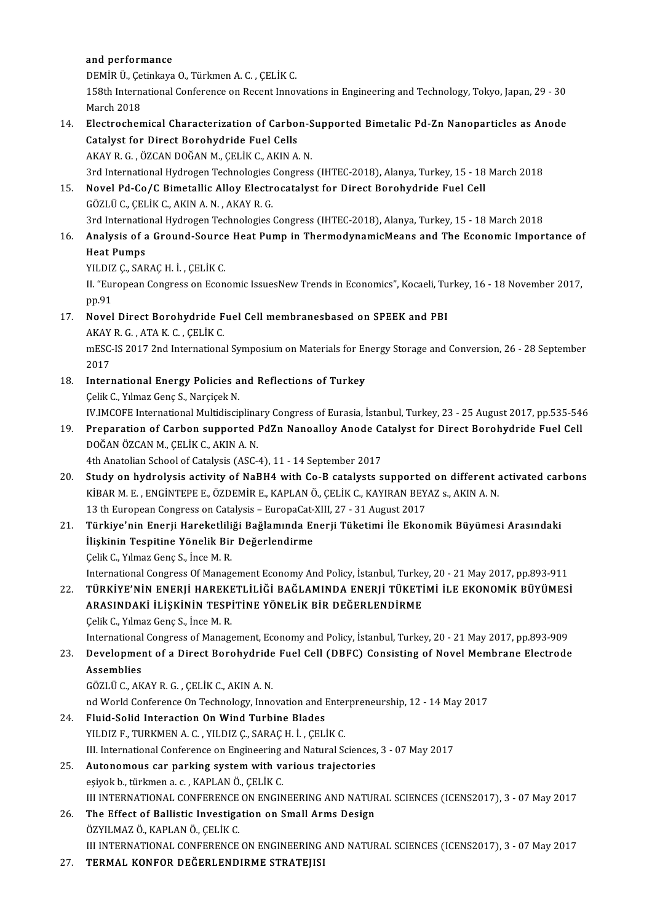### and performance

a<mark>nd performance</mark><br>DEMİR Ü., Çetinkaya O., Türkmen A. C. , ÇELİK C.<br>158th International Conference on Begent Inner

158th International Conference on Recent Innovations in Engineering and Technology, Tokyo, Japan, 29 - 30<br>March 2018 DEMİR Ü., Çe<br>158th Interna<br>March 2018<br>Electrocher 158th International Conference on Recent Innovations in Engineering and Technology, Tokyo, Japan, 29 - 30<br>March 2018<br>14. Electrochemical Characterization of Carbon-Supported Bimetalic Pd-Zn Nanoparticles as Anode<br>6. Cataly

March 2018<br>Electrochemical Characterization of Carbo<br>Catalyst for Direct Borohydride Fuel Cells<br>AKAY B.C. ÖZCAN DOČAN M. CELİK C. AKIN A Catalyst for Direct Borohydride Fuel Cells<br>AKAY R. G., ÖZCAN DOĞAN M., ÇELİK C., AKIN A. N. Catalyst for Direct Borohydride Fuel Cells<br>AKAY R. G. , ÖZCAN DOĞAN M., ÇELİK C., AKIN A. N.<br>3rd International Hydrogen Technologies Congress (IHTEC-2018), Alanya, Turkey, 15 - 18 March 2018<br>Novel Bd. Ce (C. Bimetallis All

15. Novel Pd-Co/C Bimetallic Alloy Electrocatalyst for Direct Borohydride Fuel Cell<br>GÖZLÜ C., CELİK C., AKIN A. N., AKAY R. G. 3rd International Hydrogen Technologies<br>Novel Pd-Co/C Bimetallic Alloy Electr<br>GÖZLÜ C., ÇELİK C., AKIN A. N. , AKAY R. G.<br>2rd International Hydrogen Technologies i Novel Pd-Co/C Bimetallic Alloy Electrocatalyst for Direct Borohydride Fuel Cell<br>GÖZLÜ C., ÇELİK C., AKIN A. N. , AKAY R. G.<br>3rd International Hydrogen Technologies Congress (IHTEC-2018), Alanya, Turkey, 15 - 18 March 2018<br>

16. Analysis of a Ground-Source Heat Pump in ThermodynamicMeans and The Economic Importance of 3rd Internatio<br><mark>Analysis of</mark> a<br>Heat Pumps<br>YU DIZ G SAR Analysis of a Ground-Source<br>Heat Pumps<br>YILDIZ Ç., SARAÇ H. İ. , ÇELİK C.<br>H. "Europeen Congress on Fean

II. "European Congress on Economic IssuesNew Trends in Economics", Kocaeli, Turkey, 16 - 18 November 2017, pp.91 YILDIZ<br>II. "Eur<br>pp.91<br>Noval II. "European Congress on Economic IssuesNew Trends in Economics", Kocaeli, Tu<br>pp.91<br>17. Novel Direct Borohydride Fuel Cell membranesbased on SPEEK and PBI<br>AVAND G. ATA V.G. CELIV.C

# pp.91<br>Novel Direct Borohydride F<br>AKAY R. G. , ATA K. C. , ÇELİK C.<br>mESC IS 2017 2nd Internatione

Novel Direct Borohydride Fuel Cell membranesbased on SPEEK and PBI<br>AKAY R. G. , ATA K. C. , ÇELİK C.<br>mESC-IS 2017 2nd International Symposium on Materials for Energy Storage and Conversion, 26 - 28 September<br>2017 AKAY<br>mESC-<br>2017<br>Intern mESC-IS 2017 2nd International Symposium on Materials for Er<br>2017<br>18. International Energy Policies and Reflections of Turkey<br>Colit C. Vilman Cong S. Nargical: N

- 2017<br>I**nternational Energy Policies a**<br>Çelik C., Yılmaz Genç S., Narçiçek N.<br>W.UMCOEE International Multidicci I<mark>nternational Energy Policies and Reflections of Turkey</mark><br>Çelik C., Yılmaz Genç S., Narçiçek N.<br>IV.IMCOFE International Multidisciplinary Congress of Eurasia, İstanbul, Turkey, 23 - 25 August 2017, pp.535-546<br>Prenaration o Celik C., Yılmaz Genç S., Narçiçek N.<br>19. IV.IMCOFE International Multidisciplinary Congress of Eurasia, İstanbul, Turkey, 23 - 25 August 2017, pp.535-54<br>19. Preparation of Carbon supported PdZn Nanoalloy Anode Catalyst fo
- IV.IMCOFE International Multidisciplina<br>Preparation of Carbon supported ]<br>DOĞAN ÖZCAN M., ÇELİK C., AKIN A. N.<br>4th Anatolian School of Catalusis (ASC Preparation of Carbon supported PdZn Nanoalloy Anode Ca<br>DOĞAN ÖZCAN M., ÇELİK C., AKIN A. N.<br>4th Anatolian School of Catalysis (ASC-4), 11 - 14 September 2017<br>Study on bydrolysis estivity of NoPH4 with Co. B. satalysts s 20. DOĞAN ÖZCAN M., ÇELİK C., AKIN A. N.<br>4th Anatolian School of Catalysis (ASC-4), 11 - 14 September 2017<br>20. Study on hydrolysis activity of NaBH4 with Co-B catalysts supported on different activated carbons

- 4th Anatolian School of Catalysis (ASC-4), 11 14 September 2017<br>Study on hydrolysis activity of NaBH4 with Co-B catalysts supported on different a<br>KİBAR M. E. , ENGİNTEPE E., ÖZDEMİR E., KAPLAN Ö., ÇELİK C., KAYIRAN BEYA Study on hydrolysis activity of NaBH4 with Co-B catalysts supported<br>KİBAR M. E. , ENGİNTEPE E., ÖZDEMİR E., KAPLAN Ö., ÇELİK C., KAYIRAN BEY.<br>13 th European Congress on Catalysis – EuropaCat-XIII, 27 - 31 August 2017<br>Türki 13 th European Congress on Catalysis - EuropaCat XIII, 27 - 31 August 2017
- 21. Türkiye'nin Enerji Hareketliliği Bağlamında Enerji Tüketimi İle Ekonomik Büyümesi Arasındaki Çelik C., Yılmaz Genç S., İnce M. R. İlişkinin Tespitine Yönelik Bir Değerlendirme<br>Çelik C., Yılmaz Genç S., İnce M. R.<br>International Congress Of Management Economy And Policy, İstanbul, Turkey, 20 - 21 May 2017, pp.893-911<br>Tünkiye'nin Enepli HAREKETI İLİĞİ B

22. Çelik C., Yılmaz Genç S., İnce M. R.<br>11 International Congress Of Management Economy And Policy, İstanbul, Turkey, 20 - 21 May 2017, pp.893-911<br>122. TÜRKİYE'NİN ENERJİ HAREKETLİLİĞİ BAĞLAMINDA ENERJİ TÜKETİMİ İLE EKONO International Congress Of Management Economy And Policy, İstanbul, Turkey<br>TÜRKİYE'NİN ENERJİ HAREKETLİLİĞİ BAĞLAMINDA ENERJİ TÜKETİ<br>ARASINDAKİ İLİŞKİNİN TESPİTİNE YÖNELİK BİR DEĞERLENDİRME<br>Celik C. Yılmar Cana S. İnas M. P TÜRKİYE'NIN ENERJI HAREKETLILIĞI BAĞLAMINDA ENERJI TÜKETIMI İLE EKONOMIK BÜYÜMESI<br>ARASINDAKI İLIŞKININ TESPITINE YÖNELIK BIR DEĞERLENDIRME<br>Çelik C., Yılmaz Genç S., İnce M. R.

International Congress of Management, Economy and Policy, İstanbul, Turkey, 20 - 21 May 2017, pp.893-909

9 Celik C., Yılmaz Genç S., İnce M. R.<br>1993-109 International Congress of Management, Economy and Policy, İstanbul, Turkey, 20 - 21 May 2017, pp.893<br>23. Development of a Direct Borohydride Fuel Cell (DBFC) Consisting of No International<br>Developmer<br>Assemblies<br>CÖZUÜC AK Development of a Direct Borohydride<br>Assemblies<br>GÖZLÜ C., AKAY R. G. , ÇELİK C., AKIN A. N.<br>nd World Conference On Technology, Inno Assemblies<br>GÖZLÜ C., AKAY R. G. , ÇELİK C., AKIN A. N.<br>nd World Conference On Technology, Innovation and Enterpreneurship, 12 - 14 May 2017<br>Eluid Solid Interaction On Wind Turbine Plades

GÖZLÜ C., AKAY R. G. , ÇELİK C., AKIN A. N.<br>nd World Conference On Technology, Innovation and Enter<br>24. Fluid-Solid Interaction On Wind Turbine Blades<br>YILDIZ F., TURKMEN A. C. , YILDIZ Ç., SARAÇ H. İ. , ÇELİK C.

nd World Conference On Technology, Innovation and Enter<br>Fluid-Solid Interaction On Wind Turbine Blades<br>YILDIZ F., TURKMEN A. C. , YILDIZ Ç., SARAÇ H. İ. , ÇELİK C.<br>III International Conference on Engineering and Natural Sc

Fluid-Solid Interaction On Wind Turbine Blades<br>YILDIZ F., TURKMEN A. C. , YILDIZ Ç., SARAÇ H. İ. , ÇELİK C.<br>III. International Conference on Engineering and Natural Sciences, 3 - 07 May 2017<br>Autonomous sor porking system w

- 25. Autonomous car parking system with various trajectories esiyok b., türkmen a. c., KAPLAN Ö., CELIK C. III. International Conference on Engineering<br>Autonomous car parking system with varyiyok b., türkmen a. c. , KAPLAN Ö., ÇELİK C.<br>III INTERNATIONAL CONFERENCE ON ENCIN Autonomous car parking system with various trajectories<br>eşiyok b., türkmen a. c. , KAPLAN Ö., ÇELİK C.<br>III INTERNATIONAL CONFERENCE ON ENGINEERING AND NATURAL SCIENCES (ICENS2017), 3 - 07 May 2017<br>The Effect of Pollistic I
- 26. The Effect of Ballistic Investigation on Small Arms Design ÖZYILMAZ Ö., KAPLAN Ö., CELIK C. III INTERNATIONAL CONFERENCE<br>The Effect of Ballistic Investiga<br>ÖZYILMAZ Ö., KAPLAN Ö., ÇELİK C.<br>III INTERNATIONAL CONFERENCE III INTERNATIONAL CONFERENCE ON ENGINEERING AND NATURAL SCIENCES (ICENS2017), 3 - 07 May 2017
- 27. TERMAL KONFOR DEĞERLENDIRME STRATEJISI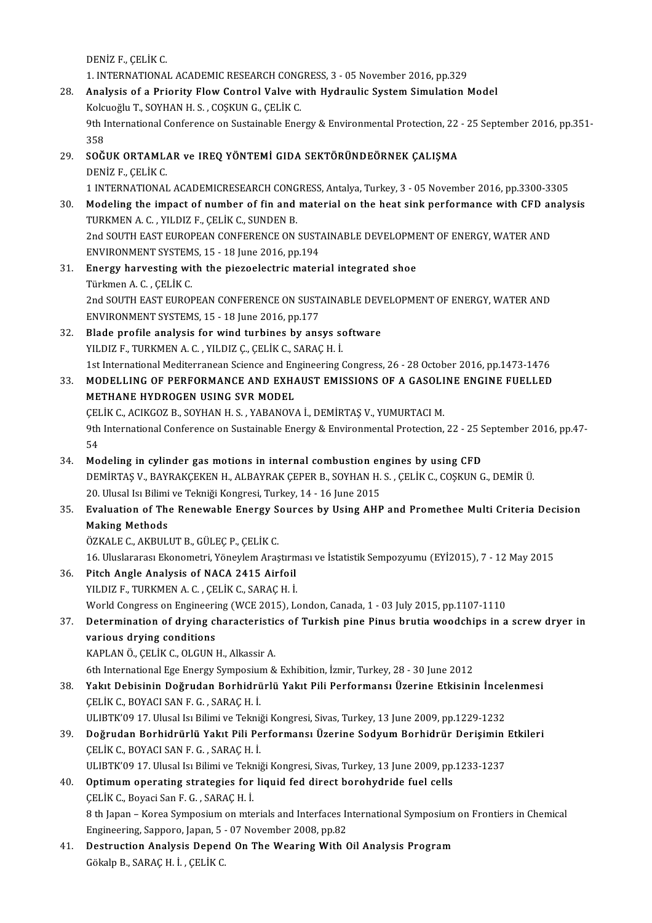DENİZ F.,ÇELİKC.

DENİZ F., ÇELİK C.<br>1. INTERNATIONAL ACADEMIC RESEARCH CONGRESS, 3 - 05 November 2016, pp.329<br>Analysis of a Priority Flaw Control Valve with Hydroulis System Simulation N

- 28. Analysis of a Priority Flow Control Valve with Hydraulic System Simulation Model 1. INTERNATIONAL ACADEMIC RESEARCH CONG<br>**Analysis of a Priority Flow Control Valve w**<br>Kolcuoğlu T., SOYHAN H. S. , COŞKUN G., ÇELİK C.<br>Oth International Conference on Sustainable Energ 9th International Conference on Sustainable Energy & Environmental Protection, 22 - 25 September 2016, pp.351-<br>358 Kolcuoğlu T., SOYHAN H. S., COSKUN G., ÇELİK C. 9th International Conference on Sustainable Energy & Environmental Protection, 22<br>358<br>29. SOĞUK ORTAMLAR ve IREQ YÖNTEMİ GIDA SEKTÖRÜNDEÖRNEK ÇALIŞMA<br>DENİZ ELÇELİK C
- 358<br><mark>SOĞUK ORTAML.</mark><br>DENİZ F., ÇELİK C.<br>1 INTERNATIONAL SOĞUK ORTAMLAR ve IREQ YÖNTEMİ GIDA SEKTÖRÜNDEÖRNEK ÇALIŞMA<br>DENİZ F., ÇELİK C.<br>1 INTERNATIONAL ACADEMICRESEARCH CONGRESS, Antalya, Turkey, 3 - 05 November 2016, pp.3300-3305<br>Modeling the impect of number of fin and materia
- DENİZ F., ÇELİK C.<br>1 INTERNATIONAL ACADEMICRESEARCH CONGRESS, Antalya, Turkey, 3 05 November 2016, pp.3300-3305<br>30. Modeling the impact of number of fin and material on the heat sink performance with CFD analysis<br>TURKMEN 1 INTERNATIONAL ACADEMICRESEARCH CONG<br>Modeling the impact of number of fin and<br>TURKMEN A. C. , YILDIZ F., ÇELİK C., SUNDEN B.<br>2nd SOUTH FAST EUROPEAN CONFERENCE ON Modeling the impact of number of fin and material on the heat sink performance with CFD an<br>TURKMEN A. C. , YILDIZ F., ÇELİK C., SUNDEN B.<br>2nd SOUTH EAST EUROPEAN CONFERENCE ON SUSTAINABLE DEVELOPMENT OF ENERGY, WATER AND<br>E TURKMEN A. C. , YILDIZ F., ÇELİK C., SUNDEN B.<br>2nd SOUTH EAST EUROPEAN CONFERENCE ON SUSTAINABLE DEVELOPMENT OF ENERGY, WATER AND<br>ENVIRONMENT SYSTEMS, 15 - 18 June 2016, pp.194 2nd SOUTH EAST EUROPEAN CONFERENCE ON SUSTAINABLE DEVELOPME<br>ENVIRONMENT SYSTEMS, 15 - 18 June 2016, pp.194<br>31. Energy harvesting with the piezoelectric material integrated shoe<br>Tipleman A.C. CELUC
- ENVIRONMENT SYSTEM<br><mark>Energy harvesting wi</mark>t<br>Türkmen A. C. , ÇELİK C.<br>2nd SOUTH FAST FUROL Energy harvesting with the piezoelectric material integrated shoe<br>Türkmen A. C. , ÇELİK C.<br>2nd SOUTH EAST EUROPEAN CONFERENCE ON SUSTAINABLE DEVELOPMENT OF ENERGY, WATER AND<br>ENVIRONMENT SYSTEMS 15 - 19 lune 2016 pp 177 Türkmen A. C. , ÇELİK C.<br>2nd SOUTH EAST EUROPEAN CONFERENCE ON SUST.<br>ENVIRONMENT SYSTEMS, 15 - 18 June 2016, pp.177<br>Blade prefile analysis for wind turbines by ana 2nd SOUTH EAST EUROPEAN CONFERENCE ON SUSTAINABLE DEV<br>ENVIRONMENT SYSTEMS, 15 - 18 June 2016, pp.177<br>32. Blade profile analysis for wind turbines by ansys software<br>VILDIZE TURKMEN A.C. VILDIZE CELUCE SARACH I
- ENVIRONMENT SYSTEMS, 15 18 June 2016, pp.177<br>Blade profile analysis for wind turbines by ansys software<br>YILDIZ F., TURKMEN A. C. , YILDIZ Ç., ÇELİK C., SARAÇ H. İ. 1st International Mediterranean Science and Engineering Congress, 26 - 28 October 2016, pp.1473-1476 YILDIZ F., TURKMEN A. C. , YILDIZ Ç., ÇELİK C., SARAÇ H. İ.<br>1st International Mediterranean Science and Engineering Congress, 26 - 28 October 2016, pp.1473-1476<br>33. MODELLING OF PERFORMANCE AND EXHAUST EMISSIONS OF A GASOL
- 1st International Mediterranean Science and En<br>MODELLING OF PERFORMANCE AND EXHA<br>METHANE HYDROGEN USING SVR MODEL<br>CELIK CACIKCOZ P. SOVHAN H.S., VARANOV MODELLING OF PERFORMANCE AND EXHAUST EMISSIONS OF A GASOLI<br>METHANE HYDROGEN USING SVR MODEL<br>ÇELİK C., ACIKGOZ B., SOYHAN H. S. , YABANOVA İ., DEMİRTAŞ V., YUMURTACI M.<br>9th International Conference on Sustainable Energy & E METHANE HYDROGEN USING SVR MODEL<br>ÇELİK C., ACIKGOZ B., SOYHAN H. S. , YABANOVA İ., DEMİRTAŞ V., YUMURTACI M.<br>9th International Conference on Sustainable Energy & Environmental Protection, 22 - 25 September 2016, pp.47-<br>54 ÇELİK C., ACIKGOZ B., SOYHAN H. S. , YABANOVA İ., DEMİRTAŞ V., YUMURTACI M.<br>9th International Conference on Sustainable Energy & Environmental Protection,<br>54 34. Modeling in cylinder gas motions in internal combustion engines by using CFD<br>34. Modeling in cylinder gas motions in internal combustion engines by using CFD<br>DEMIDTAS V. RAVRAKCEKEN H. ALRAVRAK CERER R. SOVHAN H.S. CEL
- DEMİRTAŞ V., BAYRAKÇEKEN H., ALBAYRAK ÇEPER B., SOYHAN H. S. , ÇELİK C., COŞKUN G., DEMİR Ü.<br>20. Ulusal Isı Bilimi ve Tekniği Kongresi, Turkey, 14 16 June 2015 Modeling in cylinder gas motions in internal combustion engines by using CFD DEMİRTAŞ V., BAYRAKÇEKEN H., ALBAYRAK ÇEPER B., SOYHAN H. S. , ÇELİK C., COŞKUN G., DEMİR Ü.<br>20. Ulusal Isı Bilimi ve Tekniği Kongresi, Turkey, 14 - 16 June 2015<br>35. Evaluation of The Renewable Energy Sources by Using

### 20. Ulusal Isi Bilimi<br><mark>Evaluation of Th</mark>o<br>Making Methods<br>Ö<sup>7741 E.C. AYPUL</sup> Evaluation of The Renewable Energy S<br>Making Methods<br>ÖZKALE C., AKBULUT B., GÜLEÇ P., ÇELİK C.<br>16 Uluslarensa: Ekanametri Vänaylam Aras Making Methods<br>ÖZKALE C., AKBULUT B., GÜLEÇ P., ÇELİK C.<br>16. Uluslararası Ekonometri, Yöneylem Araştırması ve İstatistik Sempozyumu (EYİ2015), 7 - 12 May 2015<br>Pitah Angle Anglysis of NACA 2415 Airfoil

- ÖZKALE C., AKBULUT B., GÜLEÇ P., ÇELİK C.<br>16. Uluslararası Ekonometri, Yöneylem Araştırm<br>36. Pitch Angle Analysis of NACA 2415 Airfoil<br>YILDIZ F., TURKMEN A. C., ÇELİK C., SARAÇ H. İ. 16. Uluslararası Ekonometri, Yöneylem Araştırm<br>Pitch Angle Analysis of NACA 2415 Airfoil<br>YILDIZ F., TURKMEN A. C. , ÇELİK C., SARAÇ H. İ. Pitch Angle Analysis of NACA 2415 Airfoil<br>YILDIZ F., TURKMEN A. C. , ÇELİK C., SARAÇ H. İ.<br>World Congress on Engineering (WCE 2015), London, Canada, 1 - 03 July 2015, pp.1107-1110<br>Petermination of daving ebarasteristics of
- 37. Determination of drying characteristics of Turkish pine Pinus brutia woodchips in a screwdryer in World Congress on Engineeri<br>Determination of drying cl<br>various drying conditions<br>KAPLANÖ CELİK COLCUNI KAPLANÖ., ÇELİK C., OLGUN H., Alkassir A.

6th International Ege Energy Symposium & Exhibition, İzmir, Turkey, 28 - 30 June 2012

38. Yakıt Debisinin Doğrudan Borhidrürlü Yakıt Pili Performansı Üzerine Etkisinin İncelenmesi ÇELİKC.,BOYACISANF.G. ,SARAÇH. İ. Yakıt Debisinin Doğrudan Borhidrürlü Yakıt Pili Performansı Üzerine Etkisinin İncel<br>ÇELİK C., BOYACI SAN F. G. , SARAÇ H. İ.<br>ULIBTK'09 17. Ulusal Isı Bilimi ve Tekniği Kongresi, Sivas, Turkey, 13 June 2009, pp.1229-1232<br>Do

- CELİK C., BOYACI SAN F. G. , SARAÇ H. İ.<br>19. ULIBTK'09 17. Ulusal Isı Bilimi ve Tekniği Kongresi, Sivas, Turkey, 13 June 2009, pp.1229-1232<br>39. Doğrudan Borhidrürlü Yakıt Pili Performansı Üzerine Sodyum Borhidrür Derişimin ULIBTK'09 17. Ulusal Isı Bilimi ve Tekni<mark>i</mark><br>Doğrudan Borhidrürlü Yakıt Pili Pe<br>ÇELİK C., BOYACI SAN F. G. , SARAÇ H. İ.<br>III IPTK'00 17. İllusal kı Bilimi ve Teknii Doğrudan Borhidrürlü Yakıt Pili Performansı Üzerine Sodyum Borhidrür Derişimin<br>ÇELİK C., BOYACI SAN F. G. , SARAÇ H. İ.<br>ULIBTK'09 17. Ulusal Isı Bilimi ve Tekniği Kongresi, Sivas, Turkey, 13 June 2009, pp.1233-1237<br>Ontimum ULIBTK'09 17. Ulusal Isı Bilimi ve Tekniği Kongresi, Sivas, Turkey, 13 June 2009, pp.1233-1237
- CELIK C., BOYACI SAN F. G. , SARAC H. I.<br>ULIBTK'09 17. Ulusal Isı Bilimi ve Tekniği Kongresi, Sivas, Turkey, 13 June 2009, pp<br>40. Optimum operating strategies for liquid fed direct borohydride fuel cells<br>CELIK C., Boyaci S Optimum operating strategies for liquid fed direct borohydride fuel cells<br>ÇELİK C., Boyaci San F. G. , SARAÇ H. İ.<br>8 th Japan – Korea Symposium on mterials and Interfaces International Symposium on Frontiers in Chemical<br>En CELIK C., Boyaci San F. G. , SARAC H. İ.<br>8 th Japan – Korea Symposium on mterials and Interfaces In<br>Engineering, Sapporo, Japan, 5 - 07 November 2008, pp.82<br>Destrustion, Analysis Denand On The Weaping With 6
- Engineering, Sapporo, Japan, 5 07 November 2008, pp.82<br>41. Destruction Analysis Depend On The Wearing With Oil Analysis Program GökalpB.,SARAÇH. İ. ,ÇELİKC.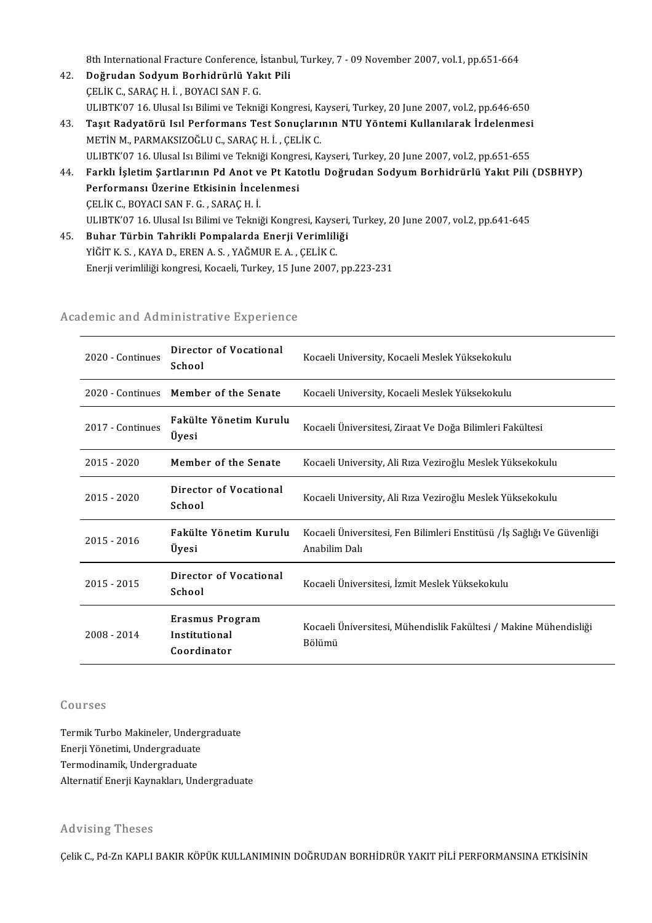8th International Fracture Conference, İstanbul, Turkey, 7 - 09 November 2007, vol.1, pp.651-664<br>Doğrudan Soduum Borhidnürlü Yakıt Bili

- 42. Doğrudan Sodyum Borhidrürlü Yakıt Pili<br>CELİK C., SARAC H. İ., BOYACI SAN F. G. 8th International Fracture Conference, İ<br>Doğrudan Sodyum Borhidrürlü Yak<br>ÇELİK C., SARAÇ H. İ. , BOYACI SAN F. G.<br>HLUPTIZ'07 16, Hlusal ku Bilimi ve Tolmi ULIBTK'07 16. Ulusal Isı Bilimi ve Tekniği Kongresi, Kayseri, Turkey, 20 June 2007, vol.2, pp.646-650 CELİK C., SARAÇ H. İ. , BOYACI SAN F. G.<br>ULIBTK'07 16. Ulusal Isı Bilimi ve Tekniği Kongresi, Kayseri, Turkey, 20 June 2007, vol.2, pp.646-650<br>43. Taşıt Radyatörü Isıl Performans Test Sonuçlarının NTU Yöntemi Kullanıla
- ULIBTK'07 16. Ulusal Isı Bilimi ve Tekniği Kongresi, K.<br>**Taşıt Radyatörü Isıl Performans Test Sonuçları**<br>METİN M., PARMAKSIZOĞLU C., SARAÇ H. İ. , ÇELİK C.<br>III IPTK'07 16. Ulusal Isı Bilimi ve Tekniği Kongresi, K. Taşıt Radyatörü Isıl Performans Test Sonuçlarının NTU Yöntemi Kullanılarak İrdelenmesi<br>METİN M., PARMAKSIZOĞLU C., SARAÇ H. İ. , ÇELİK C.<br>ULIBTK'07 16. Ulusal Isı Bilimi ve Tekniği Kongresi, Kayseri, Turkey, 20 June 2007, METİN M., PARMAKSIZOĞLU C., SARAÇ H. İ. , ÇELİK C.<br>ULIBTK'07 16. Ulusal Isı Bilimi ve Tekniği Kongresi, Kayseri, Turkey, 20 June 2007, vol.2, pp.651-655<br>44. Farklı İşletim Şartlarının Pd Anot ve Pt Katotlu Doğrudan Sod
- ULIBTK'07 16. Ulusal Isı Bilimi ve Tekniği Kongresi, Kayseri, Turkey, 20 June 2007, vol.2, pp.651-655<br>Farklı İşletim Şartlarının Pd Anot ve Pt Katotlu Doğrudan Sodyum Borhidrürlü Yakıt Pili<br>Performansı Üzerine Etkisinin İn Farklı İşletim Şartlarının Pd Anot v<br>Performansı Üzerine Etkisinin İnce<br>ÇELİK C., BOYACI SAN F. G. , SARAÇ H. İ.<br>ULIPT<sup>IZ'07-16, Ulucal kı Bilimi ve Tolmi</sup> Performansı Üzerine Etkisinin İncelenmesi<br>ÇELİK C., BOYACI SAN F. G. , SARAÇ H. İ.<br>ULIBTK'07 16. Ulusal Isı Bilimi ve Tekniği Kongresi, Kayseri, Turkey, 20 June 2007, vol.2, pp.641-645<br>Buhar Türbin Tehrikli Bompalarda Ener
- 45. Buhar Türbin Tahrikli Pompalarda Enerji Verimliliği ULIBTK'07 16. Ulusal Isı Bilimi ve Tekniği Kongresi, Kayse<br><mark>Buhar Türbin Tahrikli Pompalarda Enerji Verimlili</mark><br>YİĞİT K. S. , KAYA D., EREN A. S. , YAĞMUR E. A. , ÇELİK C.<br>Fnarii verimliliği kongresi, Kasasli Turkey, 15 Jun Enerji verimliliği kongresi, Kocaeli, Turkey, 15 June 2007, pp.223-231

| ademic and Administrative Experience |                                                        |                                                                                         |  |  |
|--------------------------------------|--------------------------------------------------------|-----------------------------------------------------------------------------------------|--|--|
| 2020 - Continues                     | Director of Vocational<br>School                       | Kocaeli University, Kocaeli Meslek Yüksekokulu                                          |  |  |
| 2020 - Continues                     | Member of the Senate                                   | Kocaeli University, Kocaeli Meslek Yüksekokulu                                          |  |  |
| 2017 - Continues                     | Fakülte Yönetim Kurulu<br>Üyesi                        | Kocaeli Üniversitesi, Ziraat Ve Doğa Bilimleri Fakültesi                                |  |  |
| $2015 - 2020$                        | Member of the Senate                                   | Kocaeli University, Ali Rıza Veziroğlu Meslek Yüksekokulu                               |  |  |
| $2015 - 2020$                        | Director of Vocational<br>School                       | Kocaeli University, Ali Rıza Veziroğlu Meslek Yüksekokulu                               |  |  |
| 2015 - 2016                          | Fakülte Yönetim Kurulu<br>Üyesi                        | Kocaeli Üniversitesi, Fen Bilimleri Enstitüsü /İş Sağlığı Ve Güvenliği<br>Anabilim Dalı |  |  |
| 2015 - 2015                          | Director of Vocational<br>School                       | Kocaeli Üniversitesi, İzmit Meslek Yüksekokulu                                          |  |  |
| 2008 - 2014                          | <b>Erasmus Program</b><br>Institutional<br>Coordinator | Kocaeli Üniversitesi, Mühendislik Fakültesi / Makine Mühendisliği<br>Bölümü             |  |  |

# enerji verimiligi kongresi, Kocaeli, Türkey, 15 juli<br>Academic and Administrative Experience

#### Courses

Termik Turbo Makineler, Undergraduate Gourbos<br>Termik Turbo Makineler, Underg<br>Enerji Yönetimi, Undergraduate<br>Termodinamik, Undergraduate Termik Turbo Makineler, Under<br>Enerji Yönetimi, Undergraduate<br>Termodinamik, Undergraduate<br>Alternatif Enerii Kaumaldaru Und Termodinamik, Undergraduate<br>Alternatif Enerji Kaynakları, Undergraduate

#### Advising Theses

Çelik C., Pd-Zn KAPLI BAKIR KÖPÜK KULLANIMININ DOĞRUDAN BORHİDRÜR YAKIT PİLİ PERFORMANSINA ETKİSİNİN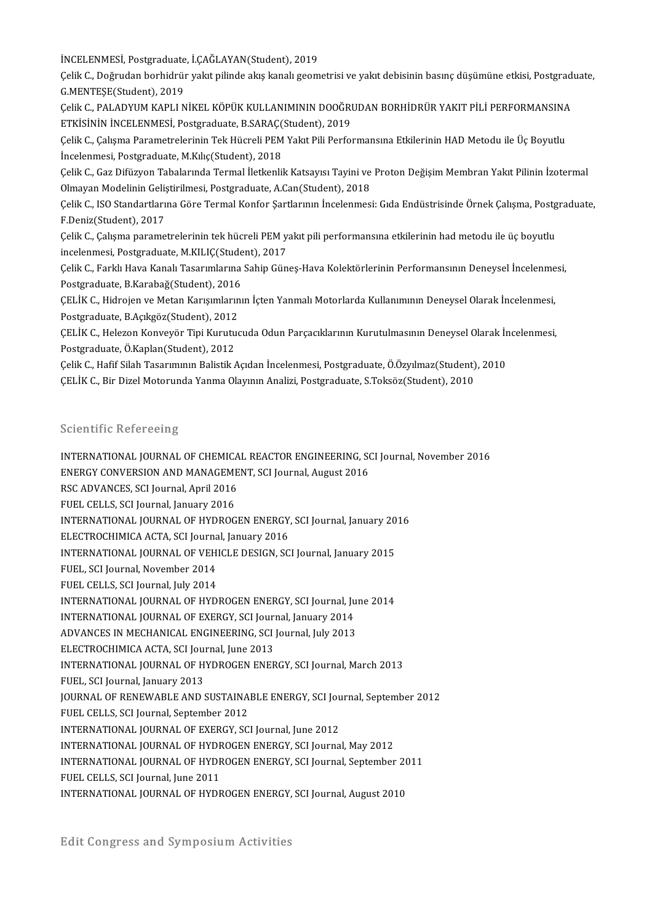İNCELENMESİ, Postgraduate, İ.ÇAĞLAYAN(Student), 2019<br>Celik C. Doğuydan berhidrür yakıt pilinde elişe kanalı geom

İNCELENMESİ, Postgraduate, İ.ÇAĞLAYAN(Student), 2019<br>Çelik C., Doğrudan borhidrür yakıt pilinde akış kanalı geometrisi ve yakıt debisinin basınç düşümüne etkisi, Postgraduate,<br>C.MENTESE(Student), 2019 İNCELENMESİ, Postgraduate<br>Çelik C., Doğrudan borhidrür<br>G.MENTEŞE(Student), 2019<br>Celik C. BALADYUM KABLLN Çelik C., Doğrudan borhidrür yakıt pilinde akış kanalı geometrisi ve yakıt debisinin basınç düşümüne etkisi, Postgrad<br>G.MENTEŞE(Student), 2019<br>Çelik C., PALADYUM KAPLI NİKEL KÖPÜK KULLANIMININ DOOĞRUDAN BORHİDRÜR YAKIT PİL

G.MENTEŞE(Student), 2019<br>Çelik C., PALADYUM KAPLI NİKEL KÖPÜK KULLANIMININ DOOĞRI<br>ETKİSİNİN İNCELENMESİ, Postgraduate, B.SARAÇ(Student), 2019<br>Celik C. Calisma Parametrolorinin Tek Hücreli BEM Yalıt Bili Berfol Çelik C., PALADYUM KAPLI NİKEL KÖPÜK KULLANIMININ DOOĞRUDAN BORHİDRÜR YAKIT PİLİ PERFORMANSINA<br>ETKİSİNİN İNCELENMESİ, Postgraduate, B.SARAÇ(Student), 2019<br>Çelik C., Çalışma Parametrelerinin Tek Hücreli PEM Yakıt Pili Perfo

ETKİSİNİN İNCELENMESİ, Postgraduate, B.SARAÇ(Student), 2019<br>Çelik C., Çalışma Parametrelerinin Tek Hücreli PEM Yakıt Pili Performansına Etkilerinin HAD Metodu ile Üç Boyutlu<br>İncelenmesi, Postgraduate, M.Kılıç(Student), 201 Çelik C., Çalışma Parametrelerinin Tek Hücreli PEM Yakıt Pili Performansına Etkilerinin HAD Metodu ile Üç Boyutlu

Olmayan Modelinin Geliştirilmesi, Postgraduate, A.Can(Student), 2018 Çelik C., Gaz Difüzyon Tabalarında Termal İletkenlik Katsayısı Tayini ve Proton Değişim Membran Yakıt Pilinin İzotermal<br>Olmayan Modelinin Geliştirilmesi, Postgraduate, A.Can(Student), 2018<br>Çelik C., ISO Standartlarına Göre

Olmayan Modelinin Geliş<br>Çelik C., ISO Standartları<br>F.Deniz(Student), 2017<br>Celik C. Celisma narama Çelik C., ISO Standartlarına Göre Termal Konfor Şartlarının İncelenmesi: Gıda Endüstrisinde Örnek Çalışma, Postg<br>F.Deniz(Student), 2017<br>Çelik C., Çalışma parametrelerinin tek hücreli PEM yakıt pili performansına etkilerini

F.Deniz(Student), 2017<br>Çelik C., Çalışma parametrelerinin tek hücreli PEM yakıt pili performansına etkilerinin had metodu ile üç boyutlu<br>incelenmesi, Postgraduate, M.KILIÇ(Student), 2017 Çelik C., Çalışma parametrelerinin tek hücreli PEM yakıt pili performansına etkilerinin had metodu ile üç boyutlu<br>incelenmesi, Postgraduate, M.KILIÇ(Student), 2017<br>Çelik C., Farklı Hava Kanalı Tasarımlarına Sahip Güneş-Hav

incelenmesi, Postgraduate, M.KILIÇ(Stude<br>Çelik C., Farklı Hava Kanalı Tasarımlarına<br>Postgraduate, B.Karabağ(Student), 2016<br>CELİK C. Hidrojan ve Matan Karısımlarını Çelik C., Farklı Hava Kanalı Tasarımlarına Sahip Güneş-Hava Kolektörlerinin Performansının Deneysel İncelenme<br>Postgraduate, B.Karabağ(Student), 2016<br>ÇELİK C., Hidrojen ve Metan Karışımlarının İçten Yanmalı Motorlarda Kulla

Postgraduate, B.Karabağ(Student), 2016<br>ÇELİK C., Hidrojen ve Metan Karışımlarının İçten Yanmalı Motorlarda Kullanımının Deneysel Olarak İncelenmesi, Postgraduate, B.Açıkgöz(Student), 2012

ÇELİK C., Helezon Konveyör Tipi Kurutucuda Odun Parçacıklarının Kurutulmasının Deneysel Olarak İncelenmesi,<br>Postgraduate, Ö.Kaplan(Student), 2012 ÇELİK C., Helezon Konveyör Tipi Kurutucuda Odun Parçacıklarının Kurutulmasının Deneysel Olarak İr<br>Postgraduate, Ö.Kaplan(Student), 2012<br>Çelik C., Hafif Silah Tasarımının Balistik Açıdan İncelenmesi, Postgraduate, Ö.Özyılma

Postgraduate, Ö.Kaplan(Student), 2012<br>Çelik C., Hafif Silah Tasarımının Balistik Açıdan İncelenmesi, Postgraduate, Ö.Özyılmaz(Student)<br>ÇELİK C., Bir Dizel Motorunda Yanma Olayının Analizi, Postgraduate, S.Toksöz(Student), ÇELİK C., Bir Dizel Motorunda Yanma Olayının Analizi, Postgraduate, S.Toksöz(Student), 2010<br>Scientific Refereeing

Scientific Refereeing<br>INTERNATIONAL JOURNAL OF CHEMICAL REACTOR ENGINEERING, SCI Journal, November 2016<br>ENERCY CONVERSION AND MANACEMENT, SCI Journal, August 2016 ECONOMIC NOTOTOOM<sub>B</sub><br>INTERNATIONAL JOURNAL OF CHEMICAL REACTOR ENGINEERING, SO<br>ENERGY CONVERSION AND MANAGEMENT, SCI Journal, August 2016 INTERNATIONAL JOURNAL OF CHEMICA<br>ENERGY CONVERSION AND MANAGEME<br>RSC ADVANCES, SCI Journal, April 2016<br>EUEL CELLS, SCI Journal January 2016 ENERGY CONVERSION AND MANAGEMENT, SCI Journal, August 2016<br>RSC ADVANCES, SCI Journal, April 2016<br>FUEL CELLS, SCI Journal, January 2016 RSC ADVANCES, SCI Journal, April 2016<br>FUEL CELLS, SCI Journal, January 2016<br>INTERNATIONAL JOURNAL OF HYDROGEN ENERGY, SCI Journal, January 2016<br>ELECTROCHIMICA ACTA, SCI Jaurnal January 2016 FUEL CELLS, SCI Journal, January 2016<br>INTERNATIONAL JOURNAL OF HYDROGEN ENERGY,<br>ELECTROCHIMICA ACTA, SCI Journal, January 2016<br>INTERNATIONAL JOURNAL OF VEUCLE DESIGN SC INTERNATIONAL JOURNAL OF HYDROGEN ENERGY, SCI Journal, January 20<br>ELECTROCHIMICA ACTA, SCI Journal, January 2016<br>INTERNATIONAL JOURNAL OF VEHICLE DESIGN, SCI Journal, January 2015<br>FUEL SCI Journal November 2014 ELECTROCHIMICA ACTA, SCI Journal, January 2016<br>INTERNATIONAL JOURNAL OF VEHICLE DESIGN, SC<br>FUEL, SCI Journal, November 2014<br>FUEL CELLS, SCI Journal, July 2014 INTERNATIONAL JOURNAL OF VEHICLE DESIGN, SCI Journal, January 2015 INTERNATIONAL JOURNAL OF HYDROGEN ENERGY, SCI Journal, June 2014 FUEL CELLS, SCI Journal, July 2014<br>INTERNATIONAL JOURNAL OF HYDROGEN ENERGY, SCI Journal, Ju<br>INTERNATIONAL JOURNAL OF EXERGY, SCI Journal, January 2014<br>ADVANGES IN MECHANICAL ENCINEERING, SCI Journal July 2013 INTERNATIONAL JOURNAL OF HYDROGEN ENERGY, SCI Journal, July<br>INTERNATIONAL JOURNAL OF EXERGY, SCI Journal, January 2014<br>ADVANCES IN MECHANICAL ENGINEERING, SCI Journal, July 2013<br>ELECTROCHIMICA ACTA SCI Journal June 2013 INTERNATIONAL JOURNAL OF EXERGY, SCI Journal<br>ADVANCES IN MECHANICAL ENGINEERING, SCI<br>ELECTROCHIMICA ACTA, SCI Journal, June 2013<br>INTERNATIONAL JOURNAL OF HYDROCEN ENER ADVANCES IN MECHANICAL ENGINEERING, SCI Journal, July 2013<br>ELECTROCHIMICA ACTA, SCI Journal, June 2013<br>INTERNATIONAL JOURNAL OF HYDROGEN ENERGY, SCI Journal, March 2013<br>FUEL SCI Journal January 2012 ELECTROCHIMICA ACTA, SCI Journal<br>INTERNATIONAL JOURNAL OF H<br>FUEL, SCI Journal, January 2013<br>JOURNAL OF PENEWARLE AND S INTERNATIONAL JOURNAL OF HYDROGEN ENERGY, SCI Journal, March 2013<br>FUEL, SCI Journal, January 2013<br>JOURNAL OF RENEWABLE AND SUSTAINABLE ENERGY, SCI Journal, September 2012<br>FUEL CELLS, SCLIQurnal, Sontomber 2012 FUEL, SCI Journal, January 2013<br>JOURNAL OF RENEWABLE AND SUSTAINA<br>FUEL CELLS, SCI Journal, September 2012<br>INTERNATIONAL JOURNAL OF EXERCY SC JOURNAL OF RENEWABLE AND SUSTAINABLE ENERGY, SCI Jou<br>FUEL CELLS, SCI Journal, September 2012<br>INTERNATIONAL JOURNAL OF EXERGY, SCI Journal, June 2012<br>INTERNATIONAL JOURNAL OF HYDROGEN ENERGY SCI Journa FUEL CELLS, SCI Journal, September 2012<br>INTERNATIONAL JOURNAL OF EXERGY, SCI Journal, June 2012<br>INTERNATIONAL JOURNAL OF HYDROGEN ENERGY, SCI Journal, May 2012 INTERNATIONAL JOURNAL OF EXERGY, SCI Journal, June 2012<br>INTERNATIONAL JOURNAL OF HYDROGEN ENERGY, SCI Journal, May 2012<br>INTERNATIONAL JOURNAL OF HYDROGEN ENERGY, SCI Journal, September 2011<br>FUEL CELLS SCI Journal June 2011 INTERNATIONAL JOURNAL OF HYDF<br>INTERNATIONAL JOURNAL OF HYDF<br>FUEL CELLS, SCI Journal, June 2011<br>INTERNATIONAL JOURNAL OF HYDE INTERNATIONAL JOURNAL OF HYDROGEN ENERGY, SCI Journal, September 2C<br>FUEL CELLS, SCI Journal, June 2011<br>INTERNATIONAL JOURNAL OF HYDROGEN ENERGY, SCI Journal, August 2010 INTERNATIONAL JOURNAL OF HYDROGEN ENERGY, SCI Journal, August 2010<br>Edit Congress and Symposium Activities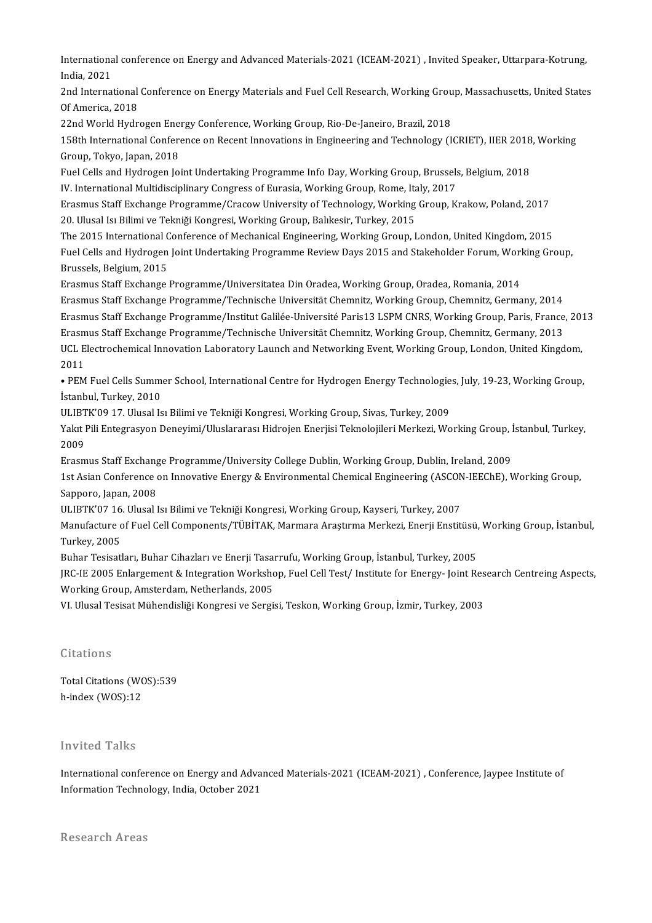International conference on Energy and Advanced Materials-2021 (ICEAM-2021) , Invited Speaker, Uttarpara-Kotrung,<br>India 2021 Internationa<br>India, 2021<br>2nd Internat International conference on Energy and Advanced Materials-2021 (ICEAM-2021) , Invited Speaker, Uttarpara-Kotrung,<br>India, 2021<br>2nd International Conference on Energy Materials and Fuel Cell Research, Working Group, Massachu

India, 2021<br>2nd International Conference on Energy Materials and Fuel Cell Research, Working Group, Massachusetts, United States<br>Of America. 2018 2nd International Conference on Energy Materials and Fuel Cell Research, Working Grou<br>Of America, 2018<br>22nd World Hydrogen Energy Conference, Working Group, Rio-De-Janeiro, Brazil, 2018<br>158th International Conference on Be

0f America, 2018<br>22nd World Hydrogen Energy Conference, Working Group, Rio-De-Janeiro, Brazil, 2018<br>158th International Conference on Recent Innovations in Engineering and Technology (ICRIET), IIER 2018, Working<br>Croup, Tel 22nd World Hydrogen Ene:<br>158th International Confere<br>Group, Tokyo, Japan, 2018<br>Fuel Cells and Hydrogen Jo 158th International Conference on Recent Innovations in Engineering and Technology (ICRIET), IIER 2018<br>Group, Tokyo, Japan, 2018<br>Fuel Cells and Hydrogen Joint Undertaking Programme Info Day, Working Group, Brussels, Belgiu

Group, Tokyo, Japan, 2018<br>International Mudrogen Joint Undertaking Programme Info Day, Working Group, Brussels, Belgium, 2018<br>IV. International Multidisciplinary Congress of Eurasia, Working Group, Rome, Italy, 2017 Fuel Cells and Hydrogen Joint Undertaking Programme Info Day, Working Group, Brussels, Belgium, 2018<br>IV. International Multidisciplinary Congress of Eurasia, Working Group, Rome, Italy, 2017<br>Erasmus Staff Exchange Programm

IV. International Multidisciplinary Congress of Eurasia, Working Group, Rome, Itz<br>Erasmus Staff Exchange Programme/Cracow University of Technology, Working<br>20. Ulusal Isı Bilimi ve Tekniği Kongresi, Working Group, Balıkesi Erasmus Staff Exchange Programme/Cracow University of Technology, Working Group, Krakow, Poland, 2017<br>20. Ulusal Isı Bilimi ve Tekniği Kongresi, Working Group, Balıkesir, Turkey, 2015<br>The 2015 International Conference of M

20. Ulusal Isı Bilimi ve Tekniği Kongresi, Working Group, Balıkesir, Turkey, 2015<br>The 2015 International Conference of Mechanical Engineering, Working Group, London, United Kingdom, 2015<br>Fuel Cells and Hydrogen Joint Under The 2015 International Conference of Mechanical Engineering, Working Group, London, United Kingdom, 2015<br>Fuel Cells and Hydrogen Joint Undertaking Programme Review Days 2015 and Stakeholder Forum, Working Gr<br>Brussels, Belg Fuel Cells and Hydrogen Joint Undertaking Programme Review Days 2015 and Stakeholder Forum, Worl<br>Brussels, Belgium, 2015<br>Erasmus Staff Exchange Programme/Universitatea Din Oradea, Working Group, Oradea, Romania, 2014<br>Erasm

Erasmus Staff Exchange Programme/Technische Universität Chemnitz, Working Group, Chemnitz, Germany, 2014 Erasmus Staff Exchange Programme/Universitatea Din Oradea, Working Group, Oradea, Romania, 2014<br>Erasmus Staff Exchange Programme/Technische Universität Chemnitz, Working Group, Chemnitz, Germany, 2014<br>Erasmus Staff Exchang Erasmus Staff Exchange Programme/Technische Universität Chemnitz, Working Group, Chemnitz, Germany, 2014<br>Erasmus Staff Exchange Programme/Institut Galilée-Université Paris13 LSPM CNRS, Working Group, Paris, France<br>Erasmus Erasmus Staff Exchange Programme/Institut Galilée-Université Paris13 LSPM CNRS, Working Group, Paris, France, 20<br>Erasmus Staff Exchange Programme/Technische Universität Chemnitz, Working Group, Chemnitz, Germany, 2013<br>UCL Erasmus Staff Exchange Programme/Technische Universität Chemnitz, Working Group, Chemnitz, Germany, 2013<br>UCL Electrochemical Innovation Laboratory Launch and Networking Event, Working Group, London, United Kingo<br>2011 • UCL Electrochemical Innovation Laboratory Launch and Networking Event, Working Group, London, United Kingdom,<br>• PEM Fuel Cells Summer School, International Centre for Hydrogen Energy Technologies, July, 19-23, Working Gr

• PEM Fuel Cells Summer School, International Centre for Hydrogen Energy Technologies, July, 19-23, Working Group, • PEM Fuel Cells Summer School, International Centre for Hydrogen Energy Technologie<br>İstanbul, Turkey, 2010<br>ULIBTK'09 17. Ulusal Isı Bilimi ve Tekniği Kongresi, Working Group, Sivas, Turkey, 2009<br>Yakıt Bili Entegrasyon Den

İstanbul, Turkey, 2010<br>ULIBTK'09 17. Ulusal Isı Bilimi ve Tekniği Kongresi, Working Group, Sivas, Turkey, 2009<br>Yakıt Pili Entegrasyon Deneyimi/Uluslararası Hidrojen Enerjisi Teknolojileri Merkezi, Working Group, İstanbul, ULIBT<br>Yakıt I<br>2009<br>Erasm Yakıt Pili Entegrasyon Deneyimi/Uluslararası Hidrojen Enerjisi Teknolojileri Merkezi, Working Group, İ<br>2009<br>Erasmus Staff Exchange Programme/University College Dublin, Working Group, Dublin, Ireland, 2009<br>1st Asian Gonfore

Erasmus Staff Exchange Programme/University College Dublin, Working Group, Dublin, Ireland, 2009

1989<br>1999 – Erasmus Staff Exchange Programme/University College Dublin, Working Group, Dublin, Ireland, 2009<br>1st Asian Conference on Innovative Energy & Environmental Chemical Engineering (ASCON-IEEChE), Working Group,<br>Sap 1st Asian Conference on Innovative Energy & Environmental Chemical Engineering (ASCON<br>Sapporo, Japan, 2008<br>ULIBTK'07 16. Ulusal Isı Bilimi ve Tekniği Kongresi, Working Group, Kayseri, Turkey, 2007<br>Manufasture of Euel Cell

Manufacture of Fuel Cell Components/TÜBİTAK, Marmara Araştırma Merkezi, Enerji Enstitüsü, Working Group, İstanbul,<br>Turkey, 2005 ULIBTK'07 16<br>Manufacture c<br>Turkey, 2005<br><sup>Puber Tesisatl</sub></sup> Manufacture of Fuel Cell Components/TÜBİTAK, Marmara Araştırma Merkezi, Enerji Enstitüsü,<br>Turkey, 2005<br>Buhar Tesisatları, Buhar Cihazları ve Enerji Tasarrufu, Working Group, İstanbul, Turkey, 2005<br>IPC IE 2005 Enlargement &

Turkey, 2005<br>Buhar Tesisatları, Buhar Cihazları ve Enerji Tasarrufu, Working Group, İstanbul, Turkey, 2005<br>JRC-IE 2005 Enlargement & Integration Workshop, Fuel Cell Test/ Institute for Energy- Joint Research Centreing Aspe Buhar Tesisatları, Buhar Cihazları ve Enerji Tasaı<br>JRC-IE 2005 Enlargement & Integration Worksho<br>Working Group, Amsterdam, Netherlands, 2005<br>VI Ulusel Tesisat Mühandisliği Kongresi ve Sergi JRC-IE 2005 Enlargement & Integration Workshop, Fuel Cell Test/ Institute for Energy- Joint Res<br>Working Group, Amsterdam, Netherlands, 2005<br>VI. Ulusal Tesisat Mühendisliği Kongresi ve Sergisi, Teskon, Working Group, İzmir,

VI. Ulusal Tesisat Mühendisliği Kongresi ve Sergisi, Teskon, Working Group, İzmir, Turkey, 2003<br>Citations

Citations<br>Total Citations (WOS):539<br>h indox (WOS):12 ortations<br>Total Citations (WC<br>h-index (WOS):12 h-index (WOS):12<br>Invited Talks

Invited Talks<br>International conference on Energy and Advanced Materials-2021 (ICEAM-2021) , Conference, Jaypee Institute of<br>Information Technology, India, Ostober 2021 Inviced Tarks<br>International conference on Energy and Adva<br>Information Technology, India, October 2021 Information Technology, India, October 2021<br>Research Areas